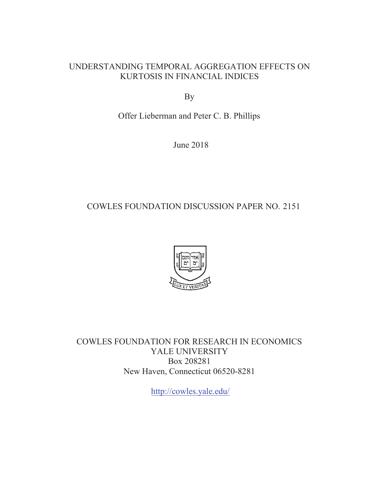## UNDERSTANDING TEMPORAL AGGREGATION EFFECTS ON KURTOSIS IN FINANCIAL INDICES

By

Offer Lieberman and Peter C. B. Phillips

June 2018

## COWLES FOUNDATION DISCUSSION PAPER NO. 2151



COWLES FOUNDATION FOR RESEARCH IN ECONOMICS YALE UNIVERSITY Box 208281 New Haven, Connecticut 06520-8281

http://cowles.yale.edu/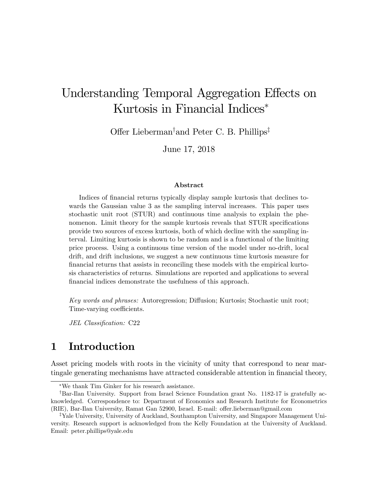# Understanding Temporal Aggregation Effects on Kurtosis in Financial Indices

Offer Lieberman<sup>†</sup> and Peter C. B. Phillips<sup>‡</sup>

June 17, 2018

#### Abstract

Indices of financial returns typically display sample kurtosis that declines towards the Gaussian value 3 as the sampling interval increases. This paper uses stochastic unit root (STUR) and continuous time analysis to explain the phenomenon. Limit theory for the sample kurtosis reveals that STUR specifications provide two sources of excess kurtosis, both of which decline with the sampling interval. Limiting kurtosis is shown to be random and is a functional of the limiting price process. Using a continuous time version of the model under no-drift, local drift, and drift inclusions, we suggest a new continuous time kurtosis measure for Önancial returns that assists in reconciling these models with the empirical kurtosis characteristics of returns. Simulations are reported and applications to several financial indices demonstrate the usefulness of this approach.

Key words and phrases: Autoregression; Diffusion; Kurtosis; Stochastic unit root; Time-varying coefficients.

JEL Classification: C22

## 1 Introduction

Asset pricing models with roots in the vicinity of unity that correspond to near martingale generating mechanisms have attracted considerable attention in financial theory,

We thank Tim Ginker for his research assistance.

<sup>&</sup>lt;sup>†</sup>Bar-Ilan University. Support from Israel Science Foundation grant No. 1182-17 is gratefully acknowledged. Correspondence to: Department of Economics and Research Institute for Econometrics (RIE), Bar-Ilan University, Ramat Gan 52900, Israel. E-mail: offer.lieberman@gmail.com

 ${}^{\ddagger}$ Yale University, University of Auckland, Southampton University, and Singapore Management University. Research support is acknowledged from the Kelly Foundation at the University of Auckland. Email: peter.phillips@yale.edu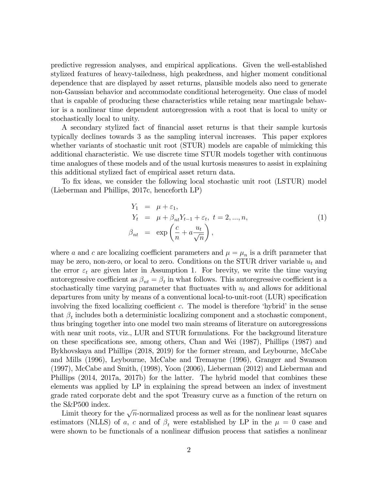predictive regression analyses, and empirical applications. Given the well-established stylized features of heavy-tailedness, high peakedness, and higher moment conditional dependence that are displayed by asset returns, plausible models also need to generate non-Gaussian behavior and accommodate conditional heterogeneity. One class of model that is capable of producing these characteristics while retaing near martingale behavior is a nonlinear time dependent autoregression with a root that is local to unity or stochastically local to unity.

A secondary stylized fact of Önancial asset returns is that their sample kurtosis typically declines towards 3 as the sampling interval increases. This paper explores whether variants of stochastic unit root (STUR) models are capable of mimicking this additional characteristic. We use discrete time STUR models together with continuous time analogues of these models and of the usual kurtosis measures to assist in explaining this additional stylized fact of empirical asset return data.

To fix ideas, we consider the following local stochastic unit root (LSTUR) model (Lieberman and Phillips, 2017c, henceforth LP)

$$
Y_1 = \mu + \varepsilon_1,
$$
  
\n
$$
Y_t = \mu + \beta_{nt} Y_{t-1} + \varepsilon_t, t = 2, ..., n,
$$
  
\n
$$
\beta_{nt} = \exp\left(\frac{c}{n} + a\frac{u_t}{\sqrt{n}}\right),
$$
\n(1)

where a and c are localizing coefficient parameters and  $\mu = \mu_n$  is a drift parameter that may be zero, non-zero, or local to zero. Conditions on the STUR driver variable  $u_t$  and the error  $\varepsilon_t$  are given later in Assumption 1. For brevity, we write the time varying autoregressive coefficient as  $\beta_{nt} = \beta_t$  in what follows. This autoregressive coefficient is a stochastically time varying parameter that fluctuates with  $u_t$  and allows for additional departures from unity by means of a conventional local-to-unit-root (LUR) specification involving the fixed localizing coefficient c. The model is therefore 'hybrid' in the sense that  $\beta_t$  includes both a deterministic localizing component and a stochastic component, thus bringing together into one model two main streams of literature on autoregressions with near unit roots, viz., LUR and STUR formulations. For the background literature on these specifications see, among others, Chan and Wei (1987), Phillips (1987) and Bykhovskaya and Phillips (2018, 2019) for the former stream, and Leybourne, McCabe and Mills (1996), Leybourne, McCabe and Tremayne (1996), Granger and Swanson (1997), McCabe and Smith, (1998), Yoon (2006), Lieberman (2012) and Lieberman and Phillips (2014, 2017a, 2017b) for the latter. The hybrid model that combines these elements was applied by LP in explaining the spread between an index of investment grade rated corporate debt and the spot Treasury curve as a function of the return on the S&P500 index.

Limit theory for the  $\sqrt{n}$ -normalized process as well as for the nonlinear least squares estimators (NLLS) of a, c and of  $\beta_t$  were established by LP in the  $\mu = 0$  case and were shown to be functionals of a nonlinear diffusion process that satisfies a nonlinear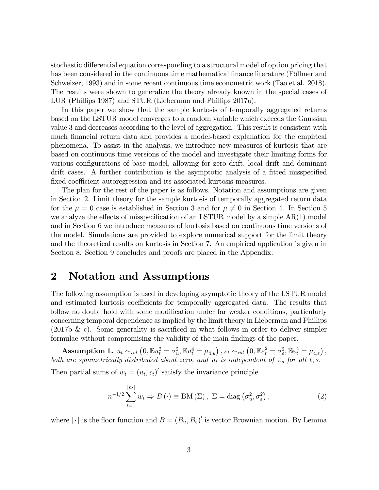stochastic differential equation corresponding to a structural model of option pricing that has been considered in the continuous time mathematical finance literature (Föllmer and Schweizer, 1993) and in some recent continuous time econometric work (Tao et al. 2018). The results were shown to generalize the theory already known in the special cases of LUR (Phillips 1987) and STUR (Lieberman and Phillips 2017a).

In this paper we show that the sample kurtosis of temporally aggregated returns based on the LSTUR model converges to a random variable which exceeds the Gaussian value 3 and decreases according to the level of aggregation. This result is consistent with much financial return data and provides a model-based explanation for the empirical phenomena. To assist in the analysis, we introduce new measures of kurtosis that are based on continuous time versions of the model and investigate their limiting forms for various configurations of base model, allowing for zero drift, local drift and dominant drift cases. A further contribution is the asymptotic analysis of a fitted misspecified fixed-coefficient autoregression and its associated kurtosis measures.

The plan for the rest of the paper is as follows. Notation and assumptions are given in Section 2. Limit theory for the sample kurtosis of temporally aggregated return data for the  $\mu = 0$  case is established in Section 3 and for  $\mu \neq 0$  in Section 4. In Section 5 we analyze the effects of misspecification of an LSTUR model by a simple  $AR(1)$  model and in Section 6 we introduce measures of kurtosis based on continuous time versions of the model. Simulations are provided to explore numerical support for the limit theory and the theoretical results on kurtosis in Section 7. An empirical application is given in Section 8. Section 9 concludes and proofs are placed in the Appendix.

## 2 Notation and Assumptions

The following assumption is used in developing asymptotic theory of the LSTUR model and estimated kurtosis coefficients for temporally aggregated data. The results that follow no doubt hold with some modification under far weaker conditions, particularly concerning temporal dependence as implied by the limit theory in Lieberman and Phillips  $(2017b \& c)$ . Some generality is sacrificed in what follows in order to deliver simpler formulae without compromising the validity of the main findings of the paper.

 $\textbf{Assumption 1.} \ \ u_t \sim_{iid} \left(0, \mathbb{E} u_t^2 = \sigma_u^2, \mathbb{E} u_t^4 = \mu_{4,u} \right), \ \varepsilon_t \sim_{iid} \left(0, \mathbb{E} \varepsilon_t^2 = \sigma_\varepsilon^2, \mathbb{E} \varepsilon_t^4 = \mu_{4,\varepsilon} \right),$ both are symmetrically distributed about zero, and  $u_t$  is independent of  $\varepsilon_s$  for all t, s.

Then partial sums of  $w_t = (u_t, \varepsilon_t)'$  satisfy the invariance principle

$$
n^{-1/2} \sum_{t=1}^{\lfloor n \rfloor} w_t \Rightarrow B(\cdot) \equiv \text{BM}(\Sigma), \ \Sigma = \text{diag}(\sigma_u^2, \sigma_\varepsilon^2), \tag{2}
$$

where  $\lfloor \cdot \rfloor$  is the floor function and  $B = (B_u, B_{\varepsilon})'$  is vector Brownian motion. By Lemma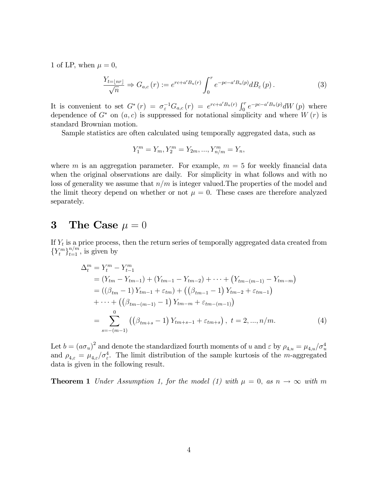1 of LP, when  $\mu = 0$ ,

$$
\frac{Y_{t=|nr|}}{\sqrt{n}} \Rightarrow G_{a,c}(r) := e^{rc+a'B_u(r)} \int_0^r e^{-pc-a'B_u(p)} dB_{\varepsilon}(p).
$$
 (3)

It is convenient to set  $G^*(r) = \sigma_{\varepsilon}^{-1}G_{a,c}(r) = e^{rc+a'B_u(r)} \int_0^r e^{-pc-a'B_u(p)} dW(p)$  where dependence of  $G^*$  on  $(a, c)$  is suppressed for notational simplicity and where  $W(r)$  is standard Brownian motion.

Sample statistics are often calculated using temporally aggregated data, such as

$$
Y_1^m = Y_m, Y_2^m = Y_{2m}, ..., Y_{n/m}^m = Y_n,
$$

where m is an aggregation parameter. For example,  $m = 5$  for weekly financial data when the original observations are daily. For simplicity in what follows and with no loss of generality we assume that  $n/m$  is integer valued. The properties of the model and the limit theory depend on whether or not  $\mu = 0$ . These cases are therefore analyzed separately.

## 3 The Case  $\mu = 0$

If  $Y_t$  is a price process, then the return series of temporally aggregated data created from  ${Y_t^m}_{t=1}^{n/m}$ , is given by

$$
\Delta_t^m = Y_t^m - Y_{t-1}^m
$$
  
=  $(Y_{tm} - Y_{tm-1}) + (Y_{tm-1} - Y_{tm-2}) + \cdots + (Y_{tm-(m-1)} - Y_{tm-m})$   
=  $((\beta_{tm} - 1) Y_{tm-1} + \varepsilon_{tm}) + ((\beta_{tm-1} - 1) Y_{tm-2} + \varepsilon_{tm-1})$   
+  $\cdots + ((\beta_{tm-(m-1)} - 1) Y_{tm-m} + \varepsilon_{tm-(m-1)})$   
=  $\sum_{s=-(m-1)}^0 ((\beta_{tm+s} - 1) Y_{tm+s-1} + \varepsilon_{tm+s}), t = 2, ..., n/m.$  (4)

Let  $b = (a\sigma_u)^2$  and denote the standardized fourth moments of u and  $\varepsilon$  by  $\rho_{4,u} = \mu_{4,u}/\sigma_u^4$ <br>and  $\rho_{4,\varepsilon} = \mu_{4,\varepsilon}/\sigma_{\varepsilon}^4$ . The limit distribution of the sample kurtosis of the m-aggregated data is given in the following result.

**Theorem 1** Under Assumption 1, for the model (1) with  $\mu = 0$ , as  $n \to \infty$  with m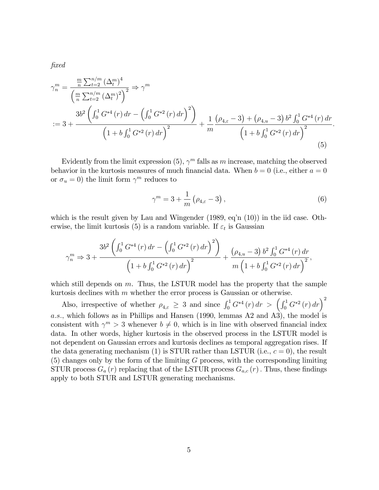$\mathit{fixed}$ 

$$
\gamma_n^m = \frac{\frac{m}{n} \sum_{t=2}^{n/m} (\Delta_t^m)^4}{\left(\frac{m}{n} \sum_{t=2}^{n/m} (\Delta_t^m)^2\right)^2} \Rightarrow \gamma^m
$$
  
:=  $3 + \frac{3b^2 \left(\int_0^1 G^{*4}(r) dr - \left(\int_0^1 G^{*2}(r) dr\right)^2\right)}{\left(1 + b \int_0^1 G^{*2}(r) dr\right)^2} + \frac{1}{m} \frac{\left(\rho_{4,\varepsilon} - 3\right) + \left(\rho_{4,u} - 3\right) b^2 \int_0^1 G^{*4}(r) dr}{\left(1 + b \int_0^1 G^{*2}(r) dr\right)^2}$  (5)

Evidently from the limit expression  $(5)$ ,  $\gamma^m$  falls as m increase, matching the observed behavior in the kurtosis measures of much financial data. When  $b = 0$  (i.e., either  $a = 0$ ) or  $\sigma_u = 0$ ) the limit form  $\gamma^m$  reduces to

$$
\gamma^m = 3 + \frac{1}{m} \left( \rho_{4,\varepsilon} - 3 \right),\tag{6}
$$

:

which is the result given by Lau and Wingender  $(1989, \text{eq}^{\prime} \text{n} (10))$  in the iid case. Otherwise, the limit kurtosis (5) is a random variable. If  $\varepsilon_t$  is Gaussian

$$
\gamma_n^m \Rightarrow 3 + \frac{3b^2 \left( \int_0^1 G^{*4}(r) dr - \left( \int_0^1 G^{*2}(r) dr \right)^2 \right)}{\left( 1 + b \int_0^1 G^{*2}(r) dr \right)^2} + \frac{(\rho_{4,u} - 3) b^2 \int_0^1 G^{*4}(r) dr}{m \left( 1 + b \int_0^1 G^{*2}(r) dr \right)^2},
$$

which still depends on  $m$ . Thus, the LSTUR model has the property that the sample kurtosis declines with  $m$  whether the error process is Gaussian or otherwise.

Also, irrespective of whether  $\rho_{4,\varepsilon} \geq 3$  and since  $\int_0^1 G^{*4}(r) dr > (\int_0^1 G^{*2}(r) dr)^2$ a.s., which follows as in Phillips and Hansen (1990, lemmas A2 and A3), the model is consistent with  $\gamma^m > 3$  whenever  $b \neq 0$ , which is in line with observed financial index data. In other words, higher kurtosis in the observed process in the LSTUR model is not dependent on Gaussian errors and kurtosis declines as temporal aggregation rises. If the data generating mechanism (1) is STUR rather than LSTUR (i.e.,  $c = 0$ ), the result  $(5)$  changes only by the form of the limiting G process, with the corresponding limiting STUR process  $G_a(r)$  replacing that of the LSTUR process  $G_{a,c}(r)$ . Thus, these findings apply to both STUR and LSTUR generating mechanisms.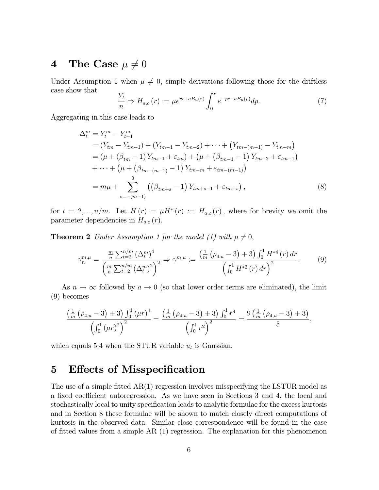## 4 The Case  $\mu \neq 0$

Under Assumption 1 when  $\mu \neq 0$ , simple derivations following those for the driftless case show that

$$
\frac{Y_t}{n} \Rightarrow H_{a,c}(r) := \mu e^{rc + a_n(r)} \int_0^r e^{-pc - a_n(r)} dp. \tag{7}
$$

Aggregating in this case leads to

$$
\Delta_t^m = Y_t^m - Y_{t-1}^m
$$
  
=  $(Y_{tm} - Y_{tm-1}) + (Y_{tm-1} - Y_{tm-2}) + \cdots + (Y_{tm-(m-1)} - Y_{tm-m})$   
=  $(\mu + (\beta_{tm} - 1) Y_{tm-1} + \varepsilon_{tm}) + (\mu + (\beta_{tm-1} - 1) Y_{tm-2} + \varepsilon_{tm-1})$   
+  $\cdots + (\mu + (\beta_{tm-(m-1)} - 1) Y_{tm-m} + \varepsilon_{tm-(m-1)})$   
=  $m\mu + \sum_{s=-(m-1)}^{0} ((\beta_{tm+s} - 1) Y_{tm+s-1} + \varepsilon_{tm+s}),$  (8)

for  $t = 2, ..., n/m$ . Let  $H(r) = \mu H^*(r) := H_{a,c}(r)$ , where for brevity we omit the parameter dependencies in  $H_{a,c}(r)$ .

**Theorem 2** Under Assumption 1 for the model (1) with  $\mu \neq 0$ ,

$$
\gamma_n^{m,\mu} = \frac{\frac{m}{n} \sum_{t=2}^{n/m} (\Delta_t^m)^4}{\left(\frac{m}{n} \sum_{t=2}^{n/m} (\Delta_t^m)^2\right)^2} \Rightarrow \gamma^{m,\mu} := \frac{\left(\frac{1}{m} \left(\rho_{4,u} - 3\right) + 3\right) \int_0^1 H^{*4}(r) dr}{\left(\int_0^1 H^{*2}(r) dr\right)^2}.
$$
(9)

As  $n \to \infty$  followed by  $a \to 0$  (so that lower order terms are eliminated), the limit (9) becomes

$$
\frac{\left(\frac{1}{m}\left(\rho_{4,u}-3\right)+3\right)\int_{0}^{1}\left(\mu r\right)^{4}}{\left(\int_{0}^{1}\left(\mu r\right)^{2}\right)^{2}}=\frac{\left(\frac{1}{m}\left(\rho_{4,u}-3\right)+3\right)\int_{0}^{1}r^{4}}{\left(\int_{0}^{1}r^{2}\right)^{2}}=\frac{9\left(\frac{1}{m}\left(\rho_{4,u}-3\right)+3\right)}{5},
$$

which equals 5.4 when the STUR variable  $u_t$  is Gaussian.

## 5 Effects of Misspecification

The use of a simple fitted  $AR(1)$  regression involves misspecifying the LSTUR model as a fixed coefficient autoregression. As we have seen in Sections 3 and 4, the local and stochastically local to unity specification leads to analytic formulae for the excess kurtosis and in Section 8 these formulae will be shown to match closely direct computations of kurtosis in the observed data. Similar close correspondence will be found in the case of fitted values from a simple  $AR(1)$  regression. The explanation for this phenomenon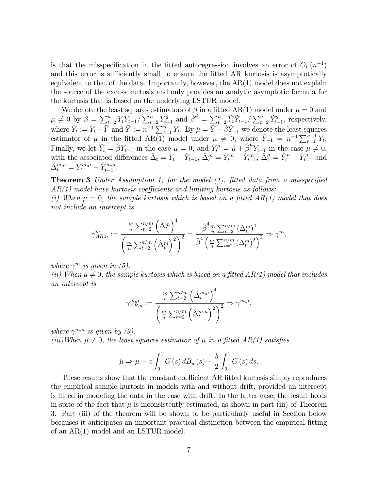is that the misspecification in the fitted autoregression involves an error of  $O_p(n^{-1})$ and this error is sufficiently small to ensure the fitted AR kurtosis is asymptotically equivalent to that of the data. Importantly, however, the  $AR(1)$  model does not explain the source of the excess kurtosis and only provides an analytic asymptotic formula for the kurtosis that is based on the underlying LSTUR model.

We denote the least squares estimators of  $\beta$  in a fitted AR(1) model under  $\mu = 0$  and  $\mu \neq 0$  by  $\hat{\beta} = \sum_{t=2}^{n} Y_t Y_{t-1} / \sum_{t=2}^{n} Y_{t-1}^2$  and  $\hat{\beta}^{\mu} = \sum_{t=2}^{n} \tilde{Y}_t \tilde{Y}_{t-1} / \sum_{t=2}^{n} \tilde{Y}_{t-1}^2$ , respectively, where  $\tilde{Y}_t := Y_t - \bar{Y}$  and  $\bar{Y} := n^{-1} \sum_{t=1}^n Y_t$ . By  $\hat{\mu} = \bar{Y} - \hat{\beta} \bar{Y}_{-1}$  we denote the least squares estimator of  $\mu$  in the fitted AR(1) model under  $\mu \neq 0$ , where  $\bar{Y}_{-1} = n^{-1} \sum_{t=1}^{n-1} Y_t$ . Finally, we let  $\hat{Y}_t = \hat{\beta} Y_{t-1}$  in the case  $\mu = 0$ , and  $\hat{Y}_t^{\mu} = \hat{\mu} + \hat{\beta}^{\mu} Y_{t-1}$  in the case  $\mu \neq 0$ , with the associated differences  $\hat{\Delta}_t = \hat{Y}_t - \hat{Y}_{t-1}, \ \hat{\Delta}_t^m = \hat{Y}_t^m - \hat{Y}_{t-1}^m, \ \hat{\Delta}_t^\mu = \hat{Y}_t^\mu - \hat{Y}_{t-1}^\mu$  and  $\hat{\Delta}^{m,\mu}_t = \hat{Y}^{m,\mu}_t - \hat{Y}^{m,\mu}_{t-1}.$ 

**Theorem 3** Under Assumption 1, for the model  $(1)$ , fitted data from a misspecified  $AR(1)$  model have kurtosis coefficients and limiting kurtosis as follows:

(i) When  $\mu = 0$ , the sample kurtosis which is based on a fitted AR(1) model that does not include an intercept is

$$
\gamma_{AR,n}^{m} := \frac{\frac{m}{n} \sum_{t=2}^{n/m} (\hat{\Delta}_t^m)^4}{\left(\frac{m}{n} \sum_{t=2}^{n/m} (\hat{\Delta}_t^m)^2\right)^2} = \frac{\hat{\beta}^4 \frac{m}{n} \sum_{t=2}^{n/m} (\Delta_t^m)^4}{\hat{\beta}^4 \left(\frac{m}{n} \sum_{t=2}^{n/m} (\Delta_t^m)^2\right)^2} \Rightarrow \gamma^m,
$$

where  $\gamma^m$  is given in (5).

(ii) When  $\mu \neq 0$ , the sample kurtosis which is based on a fitted AR(1) model that includes an intercept is

$$
\gamma_{AR,n}^{m,\mu} := \frac{\frac{m}{n} \sum_{t=2}^{n/m} (\hat{\Delta}_t^{m,\mu})^4}{\left(\frac{m}{n} \sum_{t=2}^{n/m} (\hat{\Delta}_t^{m,\mu})^2\right)^2} \Rightarrow \gamma^{m,\mu},
$$

where  $\gamma^{m,\mu}$  is given by (9). (iii)When  $\mu \neq 0$ , the least squares estimator of  $\mu$  in a fitted AR(1) satisfies

$$
\hat{\mu} \Rightarrow \mu + a \int_0^1 G(s) dB_u(s) - \frac{b}{2} \int_0^1 G(s) ds.
$$

These results show that the constant coefficient AR fitted kurtosis simply reproduces the empirical sample kurtosis in models with and without drift, provided an intercept is Ötted in modeling the data in the case with drift. In the latter case, the result holds in spite of the fact that  $\mu$  is inconsistently estimated, as shown in part (iii) of Theorem 3. Part (iii) of the theorem will be shown to be particularly useful in Section below becauses it anticipates an important practical distinction between the empirical fitting of an AR(1) model and an LSTUR model.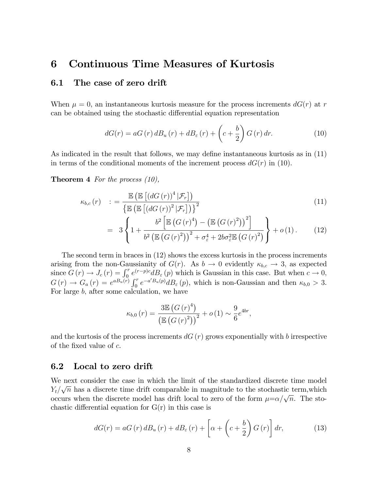## 6 Continuous Time Measures of Kurtosis

#### 6.1 The case of zero drift

When  $\mu = 0$ , an instantaneous kurtosis measure for the process increments  $dG(r)$  at r can be obtained using the stochastic differential equation representation

$$
dG(r) = aG(r) dB_u(r) + dB_{\varepsilon}(r) + \left(c + \frac{b}{2}\right)G(r) dr.
$$
 (10)

As indicated in the result that follows, we may define instantaneous kurtosis as in  $(11)$ in terms of the conditional moments of the increment process  $dG(r)$  in (10).

**Theorem 4** For the process  $(10)$ ,

$$
\kappa_{b,c}(r) \quad : = \frac{\mathbb{E}\left(\mathbb{E}\left[\left(dG\left(r\right)\right)^4|\mathcal{F}_r\right]\right)}{\left\{\mathbb{E}\left(\mathbb{E}\left[\left(dG\left(r\right)\right)^2|\mathcal{F}_r\right]\right)\right\}^2} \tag{11}
$$

$$
= 3\left\{1 + \frac{b^2 \left[\mathbb{E}\left(G(r)^4\right) - \left(\mathbb{E}\left(G(r)^2\right)\right)^2\right]}{b^2 \left(\mathbb{E}\left(G(r)^2\right)\right)^2 + \sigma_{\varepsilon}^4 + 2b\sigma_{\varepsilon}^2 \mathbb{E}\left(G(r)^2\right)}\right\} + o\left(1\right). \tag{12}
$$

The second term in braces in (12) shows the excess kurtosis in the process increments arising from the non-Gaussianity of  $G(r)$ . As  $b \to 0$  evidently  $\kappa_{b,c} \to 3$ , as expected since  $G(r) \to J_c(r) = \int_0^r e^{(r-p)c} dB_{\varepsilon}(p)$  which is Gaussian in this case. But when  $c \to 0$ ,  $G(r) \to G_a(r) = e^{a B_u(r)} \int_0^r e^{-a' B_u(p)} d B_\varepsilon(p)$ , which is non-Gaussian and then  $\kappa_{b,0} > 3$ . For large b; after some calculation, we have

$$
\kappa_{b,0}(r) = \frac{3\mathbb{E}\left(G(r)^4\right)}{\left(\mathbb{E}\left(G(r)^2\right)\right)^2} + o\left(1\right) \sim \frac{9}{6}e^{4br},
$$

and the kurtosis of the process increments  $dG(r)$  grows exponentially with b irrespective of the fixed value of  $c$ .

#### 6.2 Local to zero drift

We next consider the case in which the limit of the standardized discrete time model  $Y_t/\sqrt{n}$  has a discrete time drift comparable in magnitude to the stochastic term, which occurs when the discrete model has drift local to zero of the form  $\mu = \alpha/\sqrt{n}$ . The stochastic differential equation for  $G(r)$  in this case is

$$
dG(r) = aG(r) dB_u(r) + dB_{\varepsilon}(r) + \left[\alpha + \left(c + \frac{b}{2}\right)G(r)\right]dr, \tag{13}
$$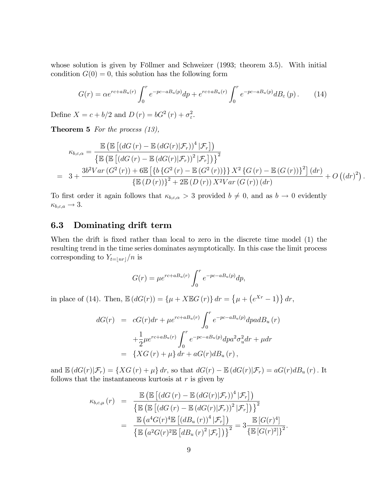whose solution is given by Föllmer and Schweizer  $(1993;$  theorem 3.5). With initial condition  $G(0) = 0$ , this solution has the following form

$$
G(r) = \alpha e^{rc + a_n(r)} \int_0^r e^{-pc - a_n(r)} dp + e^{rc + a_n(r)} \int_0^r e^{-pc - a_n(r)} d B_\varepsilon(p). \tag{14}
$$

Define  $X = c + b/2$  and  $D(r) = bG^2(r) + \sigma_{\varepsilon}^2$ .

**Theorem 5** For the process  $(13)$ ,

$$
\kappa_{b,c,\alpha} = \frac{\mathbb{E}\left(\mathbb{E}\left[\left(dG\left(r\right) - \mathbb{E}\left(dG\left(r\right)\big|\mathcal{F}_r\right)\right)^4\big|\mathcal{F}_r\right]\right)}{\left\{\mathbb{E}\left(\mathbb{E}\left[\left(dG\left(r\right) - \mathbb{E}\left(dG\left(r\right)\big|\mathcal{F}_r\right)\right)^2\big|\mathcal{F}_r\right]\right)\right\}^2\right\}}
$$
\n
$$
= 3 + \frac{3b^2Var\left(G^2\left(r\right) + 6\mathbb{E}\left[\left\{b\left\{G^2\left(r\right) - \mathbb{E}\left(G^2\left(r\right)\right)\right\}\right\}X^2\left\{G\left(r\right) - \mathbb{E}\left(G\left(r\right)\right)\right\}^2\right]\left(dr\right)}{\left\{\mathbb{E}\left(D\left(r\right)\right)\right\}^2 + 2\mathbb{E}\left(D\left(r\right)\right)X^2Var\left(G\left(r\right)\right)\left(dr\right)} + O\left(\left(dr\right)^2\right).
$$

To first order it again follows that  $\kappa_{b,c,\alpha} > 3$  provided  $b \neq 0$ , and as  $b \to 0$  evidently  $\kappa_{b,c,a} \rightarrow 3.$ 

#### 6.3 Dominating drift term

When the drift is fixed rather than local to zero in the discrete time model (1) the resulting trend in the time series dominates asymptotically. In this case the limit process corresponding to  $Y_{t=\lfloor nr\rfloor}/n$  is

$$
G(r) = \mu e^{rc + aB_u(r)} \int_0^r e^{-pc - aB_u(p)} dp,
$$

in place of (14). Then,  $\mathbb{E}(dG(r)) = \{\mu + X \mathbb{E}G(r)\} dr = \{\mu + (e^{Xr} - 1)\} dr$ ,

$$
dG(r) = cG(r)dr + \mu e^{rc + aB_u(r)} \int_0^r e^{-pc - aB_u(p)}dpadB_u(r) + \frac{1}{2}\mu e^{rc + aB_u(r)} \int_0^r e^{-pc - aB_u(p)}dp a^2 \sigma_u^2 dr + \mu dr = \{XG(r) + \mu\} dr + aG(r)dB_u(r),
$$

and  $\mathbb{E}\left(dG(r)|\mathcal{F}_r\right) = \{XG(r) + \mu\} dr$ , so that  $dG(r) - \mathbb{E}\left(dG(r)|\mathcal{F}_r\right) = aG(r)dB_u(r)$ . It follows that the instantaneous kurtosis at  $r$  is given by

$$
\kappa_{b,c,\mu}(r) = \frac{\mathbb{E}\left(\mathbb{E}\left[\left(dG\left(r\right) - \mathbb{E}\left(dG\left(r\right)|\mathcal{F}_r\right)\right)^4|\mathcal{F}_r\right]\right)}{\left\{\mathbb{E}\left(\mathbb{E}\left[\left(dG\left(r\right) - \mathbb{E}\left(dG\left(r\right)|\mathcal{F}_r\right)\right)^2|\mathcal{F}_r\right]\right)\right\}^2}
$$
\n
$$
= \frac{\mathbb{E}\left(a^4G(r)^4\mathbb{E}\left[\left(dB_u\left(r\right)\right)^4|\mathcal{F}_r\right]\right)}{\left\{\mathbb{E}\left(a^2G(r)^2\mathbb{E}\left[dB_u\left(r\right)^2|\mathcal{F}_r\right]\right)\right\}^2} = 3\frac{\mathbb{E}\left[G(r)^4\right]}{\left\{\mathbb{E}\left[G(r)^2\right]\right\}^2}.
$$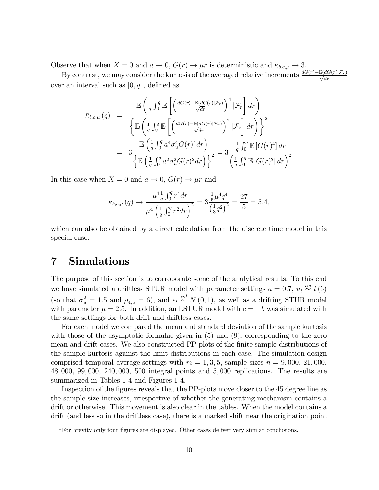Observe that when  $X = 0$  and  $a \to 0$ ,  $G(r) \to \mu r$  is deterministic and  $\kappa_{b,c,\mu} \to 3$ .

By contrast, we may consider the kurtosis of the averaged relative increments  $\frac{dG(r)-\mathbb{E}(dG(r)|\mathcal{F}_r)}{\sqrt{dr}}$ over an interval such as  $[0, q]$ , defined as

$$
\overline{\kappa}_{b,c,\mu}(q) = \frac{\mathbb{E}\left(\frac{1}{q}\int_0^q \mathbb{E}\left[\left(\frac{dG(r)-\mathbb{E}(dG(r)|\mathcal{F}_r)}{\sqrt{dr}}\right)^4|\mathcal{F}_r\right]dr\right)}{\left\{\mathbb{E}\left(\frac{1}{q}\int_0^q \mathbb{E}\left[\left(\frac{dG(r)-\mathbb{E}(dG(r)|\mathcal{F}_r)}{\sqrt{dr}}\right)^2|\mathcal{F}_r\right]dr\right)\right\}^2}
$$
\n
$$
= 3\frac{\mathbb{E}\left(\frac{1}{q}\int_0^q a^4\sigma_u^4G(r)^4dr\right)}{\left\{\mathbb{E}\left(\frac{1}{q}\int_0^q a^2\sigma_u^2G(r)^2dr\right)\right\}^2} = 3\frac{\frac{1}{q}\int_0^q \mathbb{E}\left[G(r)^4\right]dr}{\left(\frac{1}{q}\int_0^q \mathbb{E}\left[G(r)^2\right]dr\right)^2}
$$

In this case when  $X = 0$  and  $a \to 0$ ,  $G(r) \to \mu r$  and

$$
\bar{\kappa}_{b,c,\mu}(q) \to \frac{\mu^4 \frac{1}{q} \int_0^q r^4 dr}{\mu^4 \left(\frac{1}{q} \int_0^q r^2 dr\right)^2} = 3 \frac{\frac{1}{5} \mu^4 q^4}{\left(\frac{1}{3} q^2\right)^2} = \frac{27}{5} = 5.4,
$$

which can also be obtained by a direct calculation from the discrete time model in this special case.

## 7 Simulations

The purpose of this section is to corroborate some of the analytical results. To this end we have simulated a driftless STUR model with parameter settings  $a = 0.7$ ,  $u_t \stackrel{iid}{\sim} t(6)$ (so that  $\sigma_u^2 = 1.5$  and  $\rho_{4,u} = 6$ ), and  $\varepsilon_t \stackrel{iid}{\sim} N(0,1)$ , as well as a drifting STUR model with parameter  $\mu = 2.5$ . In addition, an LSTUR model with  $c = -b$  was simulated with the same settings for both drift and driftless cases.

For each model we compared the mean and standard deviation of the sample kurtosis with those of the asymptotic formulae given in (5) and (9), corresponding to the zero mean and drift cases. We also constructed PP-plots of the finite sample distributions of the sample kurtosis against the limit distributions in each case. The simulation design comprised temporal average settings with  $m = 1, 3, 5$ , sample sizes  $n = 9,000, 21,000$ , 48; 000, 99; 000, 240; 000, 500 integral points and 5; 000 replications. The results are summarized in Tables 1-4 and Figures 1-4.<sup>1</sup>

Inspection of the figures reveals that the PP-plots move closer to the 45 degree line as the sample size increases, irrespective of whether the generating mechanism contains a drift or otherwise. This movement is also clear in the tables. When the model contains a drift (and less so in the driftless case), there is a marked shift near the origination point

 $1$ For brevity only four figures are displayed. Other cases deliver very similar conclusions.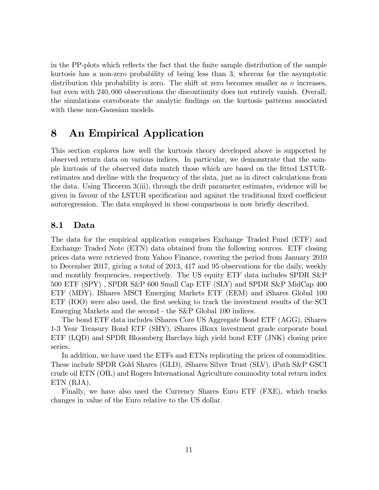in the PP-plots which reflects the fact that the finite sample distribution of the sample kurtosis has a non-zero probability of being less than 3, whereas for the asymptotic distribution this probability is zero. The shift at zero becomes smaller as  $n$  increases, but even with 240; 000 observations the discontinuity does not entirely vanish. Overall, the simulations corroborate the analytic Öndings on the kurtosis patterns associated with these non-Gaussian models.

## 8 An Empirical Application

This section explores how well the kurtosis theory developed above is supported by observed return data on various indices. In particular, we demonstrate that the sample kurtosis of the observed data match those which are based on the Ötted LSTURestimates and decline with the frequency of the data, just as in direct calculations from the data. Using Theorem 3(iii), through the drift parameter estimates, evidence will be given in favour of the LSTUR specification and against the traditional fixed coefficient autoregression. The data employed in these comparisons is now briefly described.

#### 8.1 Data

The data for the empirical application comprises Exchange Traded Fund (ETF) and Exchange Traded Note (ETN) data obtained from the following sources. ETF closing prices data were retrieved from Yahoo Finance, covering the period from January 2010 to December 2017, giving a total of 2013, 417 and 95 observations for the daily, weekly and monthly frequencies, respectively. The US equity ETF data includes SPDR S&P 500 ETF (SPY) , SPDR S&P 600 Small Cap ETF (SLY) and SPDR S&P MidCap 400 ETF (MDY). IShares MSCI Emerging Markets ETF (EEM) and iShares Global 100 ETF (IOO) were also used, the first seeking to track the investment results of the SCI Emerging Markets and the second - the S&P Global 100 indices.

The bond ETF data includes iShares Core US Aggregate Bond ETF (AGG), iShares 1-3 Year Treasury Bond ETF (SHY), iShares iBoxx investment grade corporate bond ETF (LQD) and SPDR Bloomberg Barclays high yield bond ETF (JNK) closing price series.

In addition, we have used the ETFs and ETNs replicating the prices of commodities. These include SPDR Gold Shares (GLD), iShares Silver Trust (SLV), iPath S&P GSCI crude oil ETN (OIL) and Rogers International Agriculture commodity total return index ETN (RJA).

Finally, we have also used the Currency Shares Euro ETF (FXE), which tracks changes in value of the Euro relative to the US dollar.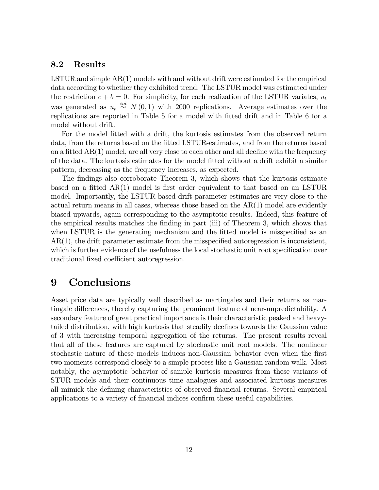#### 8.2 Results

LSTUR and simple AR(1) models with and without drift were estimated for the empirical data according to whether they exhibited trend. The LSTUR model was estimated under the restriction  $c + b = 0$ . For simplicity, for each realization of the LSTUR variates,  $u_t$ was generated as  $u_t \stackrel{iid}{\sim} N(0, 1)$  with 2000 replications. Average estimates over the replications are reported in Table 5 for a model with fitted drift and in Table 6 for a model without drift.

For the model fitted with a drift, the kurtosis estimates from the observed return data, from the returns based on the fitted LSTUR-estimates, and from the returns based on a fitted  $AR(1)$  model, are all very close to each other and all decline with the frequency of the data. The kurtosis estimates for the model Ötted without a drift exhibit a similar pattern, decreasing as the frequency increases, as expected.

The findings also corroborate Theorem 3, which shows that the kurtosis estimate based on a fitted  $AR(1)$  model is first order equivalent to that based on an LSTUR model. Importantly, the LSTUR-based drift parameter estimates are very close to the actual return means in all cases, whereas those based on the  $AR(1)$  model are evidently biased upwards, again corresponding to the asymptotic results. Indeed, this feature of the empirical results matches the Önding in part (iii) of Theorem 3, which shows that when LSTUR is the generating mechanism and the fitted model is misspecified as an  $AR(1)$ , the drift parameter estimate from the misspecified autoregression is inconsistent, which is further evidence of the usefulness the local stochastic unit root specification over traditional fixed coefficient autoregression.

## 9 Conclusions

Asset price data are typically well described as martingales and their returns as martingale differences, thereby capturing the prominent feature of near-unpredictability. A secondary feature of great practical importance is their characteristic peaked and heavytailed distribution, with high kurtosis that steadily declines towards the Gaussian value of 3 with increasing temporal aggregation of the returns. The present results reveal that all of these features are captured by stochastic unit root models. The nonlinear stochastic nature of these models induces non-Gaussian behavior even when the first two moments correspond closely to a simple process like a Gaussian random walk. Most notably, the asymptotic behavior of sample kurtosis measures from these variants of STUR models and their continuous time analogues and associated kurtosis measures all mimick the defining characteristics of observed financial returns. Several empirical applications to a variety of financial indices confirm these useful capabilities.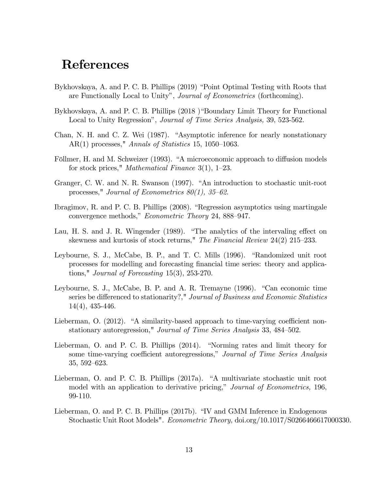## References

- Bykhovskaya, A. and P. C. B. Phillips (2019) "Point Optimal Testing with Roots that are Functionally Local to Unity", Journal of Econometrics (forthcoming).
- Bykhovskaya, A. and P. C. B. Phillips (2018) "Boundary Limit Theory for Functional Local to Unity Regression", *Journal of Time Series Analysis*, 39, 523-562.
- Chan, N. H. and C. Z. Wei (1987). "Asymptotic inference for nearly nonstationary AR(1) processes," Annals of Statistics 15, 1050–1063.
- Föllmer, H. and M. Schweizer (1993). "A microeconomic approach to diffusion models for stock prices," *Mathematical Finance* 3(1),  $1-23$ .
- Granger, C. W. and N. R. Swanson (1997). "An introduction to stochastic unit-root processes," Journal of Econometrics  $80(1)$ ,  $35-62$ .
- Ibragimov, R. and P. C. B. Phillips  $(2008)$ . "Regression asymptotics using martingale convergence methods," Econometric Theory 24, 888–947.
- Lau, H. S. and J. R. Wingender (1989). "The analytics of the intervaling effect on skewness and kurtosis of stock returns," The Financial Review  $24(2)$  215–233.
- Leybourne, S. J., McCabe, B. P., and T. C. Mills (1996). "Randomized unit root processes for modelling and forecasting Önancial time series: theory and applications," Journal of Forecasting 15(3), 253-270.
- Leybourne, S. J., McCabe, B. P. and A. R. Tremayne  $(1996)$ . "Can economic time series be differenced to stationarity?," Journal of Business and Economic Statistics 14(4), 435-446.
- Lieberman, O. (2012). "A similarity-based approach to time-varying coefficient nonstationary autoregression," Journal of Time Series Analysis 33, 484–502.
- Lieberman, O. and P. C. B. Phillips  $(2014)$ . "Norming rates and limit theory for some time-varying coefficient autoregressions," Journal of Time Series Analysis 35, 592–623.
- Lieberman, O. and P. C. B. Phillips  $(2017a)$ . "A multivariate stochastic unit root model with an application to derivative pricing," Journal of Econometrics, 196, 99-110.
- Lieberman, O. and P. C. B. Phillips (2017b). "IV and GMM Inference in Endogenous Stochastic Unit Root Models". Econometric Theory, doi.org/10.1017/S0266466617000330.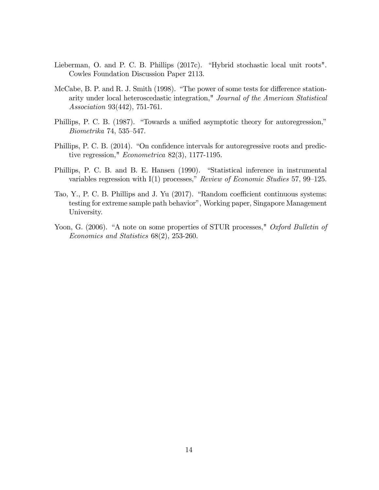- Lieberman, O. and P. C. B. Phillips  $(2017c)$ . "Hybrid stochastic local unit roots". Cowles Foundation Discussion Paper 2113.
- McCabe, B. P. and R. J. Smith  $(1998)$ . "The power of some tests for difference stationarity under local heteroscedastic integration," Journal of the American Statistical Association 93(442), 751-761.
- Phillips, P. C. B. (1987). "Towards a unified asymptotic theory for autoregression,"  $Biometrika$  74, 535–547.
- Phillips, P. C. B. (2014). "On confidence intervals for autoregressive roots and predictive regression," Econometrica 82(3), 1177-1195.
- Phillips, P. C. B. and B. E. Hansen (1990). "Statistical inference in instrumental variables regression with I(1) processes," Review of Economic Studies 57, 99–125.
- Tao, Y., P. C. B. Phillips and J. Yu (2017). "Random coefficient continuous systems: testing for extreme sample path behavior", Working paper, Singapore Management University.
- Yoon, G. (2006). "A note on some properties of STUR processes," Oxford Bulletin of Economics and Statistics 68(2), 253-260.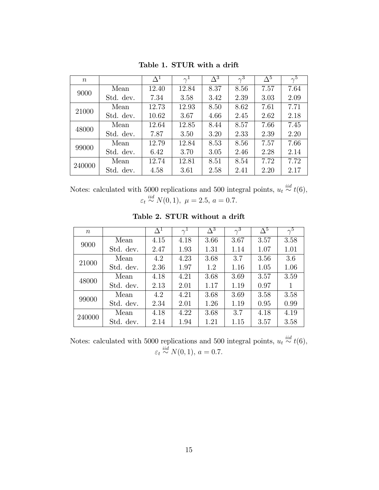| $\boldsymbol{n}$ |           | $\Delta^1$ | $\gamma^{\perp}$ | $\overline{\Delta^3}$ | $\gamma^3$ | $\Delta^5$ | $\gamma^5$ |
|------------------|-----------|------------|------------------|-----------------------|------------|------------|------------|
| 9000             | Mean      | 12.40      | 12.84            | 8.37                  | 8.56       | 7.57       | 7.64       |
|                  | Std. dev. | 7.34       | 3.58             | 3.42                  | 2.39       | 3.03       | 2.09       |
| 21000            | Mean      | 12.73      | 12.93            | 8.50                  | 8.62       | 7.61       | 7.71       |
|                  | Std. dev. | 10.62      | 3.67             | 4.66                  | 2.45       | 2.62       | 2.18       |
| 48000            | Mean      | 12.64      | 12.85            | 8.44                  | 8.57       | 7.66       | 7.45       |
|                  | Std. dev. | 7.87       | 3.50             | 3.20                  | 2.33       | 2.39       | 2.20       |
| 99000            | Mean      | 12.79      | 12.84            | 8.53                  | 8.56       | 7.57       | 7.66       |
|                  | Std. dev. | 6.42       | 3.70             | 3.05                  | 2.46       | 2.28       | 2.14       |
| 240000           | Mean      | 12.74      | 12.81            | 8.51                  | 8.54       | 7.72       | 7.72       |
|                  | Std. dev. | 4.58       | 3.61             | 2.58                  | 2.41       | 2.20       | 2.17       |

Table 1. STUR with a drift

Notes: calculated with 5000 replications and 500 integral points,  $u_t \stackrel{iid}{\sim} t(6)$ ,  $\varepsilon_t \stackrel{iid}{\sim} N(0, 1), \ \mu = 2.5, \ a = 0.7.$ 

Table 2. STUR without a drift

| $\boldsymbol{n}$ |           | $\Delta^1$ |      | $\overline{\Delta^3}$ | $\gamma^{\overline{3}}$ | $\overline{\Delta^5}$ | $\gamma^5$ |
|------------------|-----------|------------|------|-----------------------|-------------------------|-----------------------|------------|
|                  | Mean      | 4.15       | 4.18 | 3.66                  | 3.67                    | 3.57                  | 3.58       |
| 9000             | Std. dev. | 2.47       | 1.93 | 1.31                  | 1.14                    | 1.07                  | 1.01       |
| 21000            | Mean      | 4.2        | 4.23 | 3.68                  | 3.7                     | 3.56                  | 3.6        |
|                  | Std. dev. | 2.36       | 1.97 | 1.2                   | 1.16                    | 1.05                  | 1.06       |
| 48000            | Mean      | 4.18       | 4.21 | 3.68                  | 3.69                    | 3.57                  | 3.59       |
|                  | Std. dev. | 2.13       | 2.01 | 1.17                  | 1.19                    | 0.97                  | 1          |
| 99000            | Mean      | 4.2        | 4.21 | 3.68                  | 3.69                    | 3.58                  | 3.58       |
|                  | Std. dev. | 2.34       | 2.01 | 1.26                  | 1.19                    | 0.95                  | 0.99       |
| 240000           | Mean      | 4.18       | 4.22 | 3.68                  | 3.7                     | 4.18                  | 4.19       |
|                  | Std. dev. | 2.14       | 1.94 | 1.21                  | 1.15                    | 3.57                  | 3.58       |

Notes: calculated with 5000 replications and 500 integral points,  $u_t \stackrel{iid}{\sim} t(6)$ ,  $\varepsilon_t \stackrel{iid}{\sim} N(0, 1), a = 0.7.$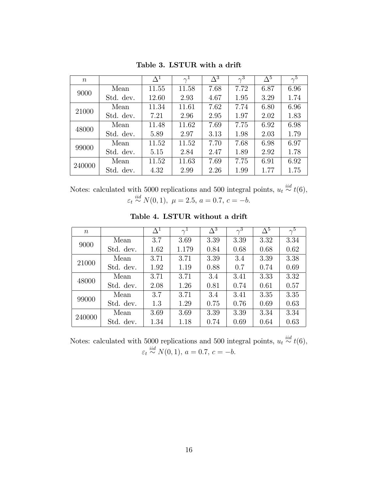| $\boldsymbol{n}$ |           | $\Delta^1$ | $\gamma^{1}$ | $\overline{\Delta^3}$ | $\gamma^3$ | $\Delta^5$ | $\gamma^{\bar{5}}$ |
|------------------|-----------|------------|--------------|-----------------------|------------|------------|--------------------|
| 9000             | Mean      | 11.55      | 11.58        | 7.68                  | 7.72       | 6.87       | 6.96               |
|                  | Std. dev. | 12.60      | 2.93         | 4.67                  | 1.95       | 3.29       | 1.74               |
| 21000            | Mean      | 11.34      | 11.61        | 7.62                  | 7.74       | 6.80       | 6.96               |
|                  | Std. dev. | 7.21       | 2.96         | 2.95                  | 1.97       | 2.02       | 1.83               |
| 48000            | Mean      | 11.48      | 11.62        | 7.69                  | 7.75       | 6.92       | 6.98               |
|                  | Std. dev. | 5.89       | 2.97         | 3.13                  | 1.98       | 2.03       | 1.79               |
| 99000            | Mean      | 11.52      | 11.52        | 7.70                  | 7.68       | 6.98       | 6.97               |
|                  | Std. dev. | 5.15       | 2.84         | 2.47                  | 1.89       | 2.92       | 1.78               |
| 240000           | Mean      | 11.52      | 11.63        | 7.69                  | 7.75       | 6.91       | 6.92               |
|                  | Std. dev. | 4.32       | 2.99         | 2.26                  | 1.99       | 1.77       | 1.75               |

Table 3. LSTUR with a drift

Notes: calculated with 5000 replications and 500 integral points,  $u_t \stackrel{iid}{\sim} t(6)$ ,  $\varepsilon_t \stackrel{iid}{\sim} N(0, 1), \ \mu = 2.5, \ a = 0.7, \ c = -b.$ 

| $\boldsymbol{n}$ |           | $\Delta^1$ | $\gamma^{\perp}$ | $\overline{\Delta^3}$ | $\gamma^{\overline{3}}$ | $\overline{\Delta^5}$ | $\gamma^5$ |
|------------------|-----------|------------|------------------|-----------------------|-------------------------|-----------------------|------------|
| 9000             | Mean      | 3.7        | 3.69             | 3.39                  | 3.39                    | 3.32                  | 3.34       |
|                  | Std. dev. | 1.62       | 1.179            | 0.84                  | 0.68                    | 0.68                  | 0.62       |
| 21000            | Mean      | 3.71       | 3.71             | 3.39                  | 3.4                     | 3.39                  | 3.38       |
|                  | Std. dev. | 1.92       | 1.19             | 0.88                  | 0.7                     | 0.74                  | 0.69       |
| 48000            | Mean      | 3.71       | 3.71             | 3.4                   | 3.41                    | 3.33                  | 3.32       |
|                  | Std. dev. | 2.08       | 1.26             | 0.81                  | 0.74                    | 0.61                  | 0.57       |
| 99000            | Mean      | 3.7        | 3.71             | 3.4                   | 3.41                    | 3.35                  | 3.35       |
|                  | Std. dev. | 1.3        | 1.29             | 0.75                  | 0.76                    | 0.69                  | 0.63       |
| 240000           | Mean      | 3.69       | 3.69             | 3.39                  | 3.39                    | 3.34                  | 3.34       |
|                  | Std. dev. | 1.34       | 1.18             | 0.74                  | 0.69                    | 0.64                  | 0.63       |

Table 4. LSTUR without a drift

Notes: calculated with 5000 replications and 500 integral points,  $u_t \stackrel{iid}{\sim} t(6)$ ,  $\varepsilon_t \stackrel{iid}{\sim} N(0, 1), \, a = 0.7, \, c = -b.$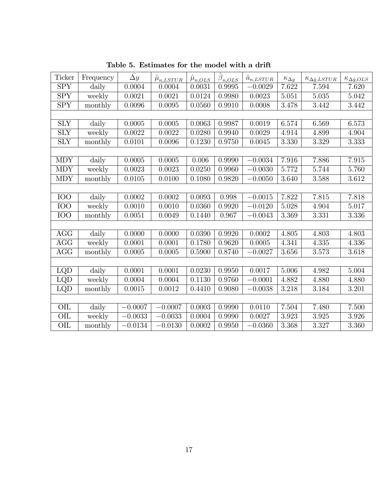| Ticker                  | Frequency | $\bar{\Delta y}$ | $\hat{\mu}_{n, LSTUR}$ | $\hat{\mu}_{n,OLS}$ | $\hat{\boldsymbol{\beta}}_{\underbrace{n,OLS}}$ | $\hat{a}_{n, LSTU \underline{R}}$ | $\kappa_{\Delta y}$ | $\kappa_{\Delta \hat{y}, LSTUR}$ | $\kappa_{\Delta \hat{y},OLS}$ |
|-------------------------|-----------|------------------|------------------------|---------------------|-------------------------------------------------|-----------------------------------|---------------------|----------------------------------|-------------------------------|
| <b>SPY</b>              | daily     | 0.0004           | 0.0004                 | 0.0031              | 0.9995                                          | $-0.0029$                         | 7.622               | 7.594                            | 7.620                         |
| <b>SPY</b>              | weekly    | 0.0021           | 0.0021                 | 0.0124              | 0.9980                                          | 0.0023                            | 5.051               | 5.035                            | 5.042                         |
| SPY                     | monthly   | 0.0096           | 0.0095                 | 0.0560              | 0.9910                                          | 0.0008                            | 3.478               | 3.442                            | 3.442                         |
|                         |           |                  |                        |                     |                                                 |                                   |                     |                                  |                               |
| ${\rm SLY}$             | daily     | 0.0005           | 0.0005                 | 0.0063              | 0.9987                                          | 0.0019                            | 6.574               | 6.569                            | 6.573                         |
| ${\rm SLY}$             | weekly    | 0.0022           | 0.0022                 | 0.0280              | 0.9940                                          | 0.0029                            | 4.914               | 4.899                            | 4.904                         |
| ${\rm SLY}$             | monthly   | 0.0101           | 0.0096                 | 0.1230              | 0.9750                                          | 0.0045                            | 3.330               | 3.329                            | 3.333                         |
|                         |           |                  |                        |                     |                                                 |                                   |                     |                                  |                               |
| <b>MDY</b>              | daily     | 0.0005           | 0.0005                 | 0.006               | 0.9990                                          | $-0.0034$                         | 7.916               | 7.886                            | 7.915                         |
| <b>MDY</b>              | weekly    | 0.0023           | 0.0023                 | 0.0250              | 0.9960                                          | $-0.0030$                         | 5.772               | 5.744                            | 5.760                         |
| <b>MDY</b>              | monthly   | 0.0105           | 0.0100                 | 0.1080              | 0.9820                                          | $-0.0050$                         | 3.640               | 3.588                            | 3.612                         |
|                         |           |                  |                        |                     |                                                 |                                   |                     |                                  |                               |
| <b>IOO</b>              | daily     | 0.0002           | 0.0002                 | 0.0093              | 0.998                                           | $-0.0015$                         | 7.822               | 7.815                            | 7.818                         |
| $\overline{100}$        | weekly    | 0.0010           | 0.0010                 | 0.0360              | 0.9920                                          | $-0.0120$                         | 5.028               | 4.904                            | 5.017                         |
| $\overline{IOO}$        | monthly   | 0.0051           | 0.0049                 | 0.1440              | 0.967                                           | $-0.0043$                         | 3.369               | 3.331                            | 3.336                         |
|                         |           |                  |                        |                     |                                                 |                                   |                     |                                  |                               |
| AGG                     | daily     | 0.0000           | 0.0000                 | 0.0390              | 0.9920                                          | 0.0002                            | 4.805               | 4.803                            | 4.803                         |
| AGG                     | weekly    | 0.0001           | 0.0001                 | 0.1780              | 0.9620                                          | 0.0005                            | 4.341               | 4.335                            | 4.336                         |
| <b>AGG</b>              | monthly   | 0.0005           | 0.0005                 | 0.5900              | 0.8740                                          | $-0.0027$                         | 3.656               | 3.573                            | 3.618                         |
|                         |           |                  |                        |                     |                                                 |                                   |                     |                                  |                               |
| LQD                     | daily     | 0.0001           | 0.0001                 | 0.0230              | 0.9950                                          | 0.0017                            | 5.006               | 4.982                            | 5.004                         |
| LQD                     | weekly    | 0.0004           | 0.0004                 | 0.1130              | 0.9760                                          | $-0.0001$                         | 4.882               | 4.880                            | 4.880                         |
| LQD                     | monthly   | 0.0015           | 0.0012                 | 0.4410              | 0.9080                                          | $-0.0038$                         | 3.218               | 3.184                            | 3.201                         |
|                         |           |                  |                        |                     |                                                 |                                   |                     |                                  |                               |
| $\overline{\text{O}}$   | daily     | $-0.0007$        | $-0.0007$              | 0.0003              | 0.9990                                          | 0.0110                            | 7.504               | 7.480                            | 7.500                         |
| OIL                     | weekly    | $-0.0033$        | $-0.0033$              | 0.0004              | 0.9990                                          | 0.0027                            | 3.923               | 3.925                            | 3.926                         |
| $\overline{\text{OIL}}$ | monthly   | $-0.0134$        | $-0.0130$              | 0.0002              | 0.9950                                          | $-0.0360$                         | 3.368               | 3.327                            | $3.\overline{3}60$            |

Table 5. Estimates for the model with a drift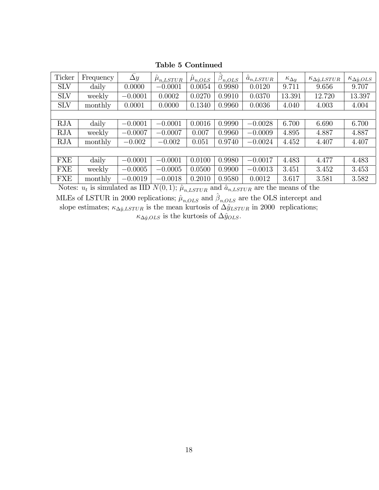| Ticker     | Frequency | $\Delta y$ | $\mu_{n, LSTUR}$ | $\mu_{n,OLS}$ | $\beta_{n,OLS}$ | $a_{n, LSTUR}$ | $\kappa_{\Delta y}$ | $\kappa_{\Delta \hat{y}, LSTUR}$ | $\kappa_{\Delta \hat{y},OLS}$ |
|------------|-----------|------------|------------------|---------------|-----------------|----------------|---------------------|----------------------------------|-------------------------------|
| <b>SLV</b> | daily     | 0.0000     | $-0.0001$        | 0.0054        | 0.9980          | 0.0120         | 9.711               | 9.656                            | 9.707                         |
| <b>SLV</b> | weekly    | $-0.0001$  | 0.0002           | 0.0270        | 0.9910          | 0.0370         | 13.391              | 12.720                           | 13.397                        |
| <b>SLV</b> | monthly   | 0.0001     | 0.0000           | 0.1340        | 0.9960          | 0.0036         | 4.040               | 4.003                            | 4.004                         |
|            |           |            |                  |               |                 |                |                     |                                  |                               |
| <b>RJA</b> | daily     | $-0.0001$  | $-0.0001$        | 0.0016        | 0.9990          | $-0.0028$      | 6.700               | 6.690                            | 6.700                         |
| <b>RJA</b> | weekly    | $-0.0007$  | $-0.0007$        | 0.007         | 0.9960          | $-0.0009$      | 4.895               | 4.887                            | 4.887                         |
| <b>RJA</b> | monthly   | $-0.002$   | $-0.002$         | 0.051         | 0.9740          | $-0.0024$      | 4.452               | 4.407                            | 4.407                         |
|            |           |            |                  |               |                 |                |                     |                                  |                               |
| <b>FXE</b> | daily     | $-0.0001$  | $-0.0001$        | 0.0100        | 0.9980          | $-0.0017$      | 4.483               | 4.477                            | 4.483                         |
| FXE        | weekly    | $-0.0005$  | $-0.0005$        | 0.0500        | 0.9900          | $-0.0013$      | 3.451               | 3.452                            | 3.453                         |
| <b>FXE</b> | monthly   | $-0.0019$  | $-0.0018$        | 0.2010        | 0.9580          | 0.0012         | 3.617               | 3.581                            | 3.582                         |

Table 5 Continued

Notes:  $u_t$  is simulated as IID  $N(0, 1)$ ;  $\hat{\mu}_{n, LSTM}$  and  $\hat{a}_{n,LSTUR}$  are the means of the MLEs of LSTUR in 2000 replications;  $\hat{\mu}_{n,OLS}$  and  $\hat{\beta}_{n,OLS}$  are the OLS intercept and slope estimates;  $\kappa_{\Delta\hat{y},LSTUR}$  is the mean kurtosis of  $\Delta\hat{y}_{LSTUR}$  in 2000 replications;  $\kappa_{\Delta\hat{y},OLS}$  is the kurtosis of  $\Delta\hat{y}_{OLS}$ .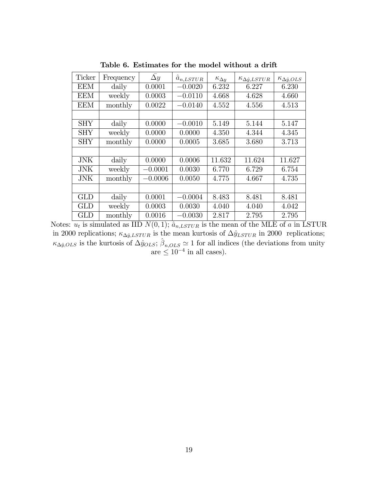| Frequency | $\Delta y$ | $\hat{a}_{n, LSTUR}$ | $\kappa_{\Delta y}$ | $\kappa_{\Delta \hat{y}, LSTUR}$ | $\kappa_{\Delta \hat{y},OLS}$ |
|-----------|------------|----------------------|---------------------|----------------------------------|-------------------------------|
| daily     | 0.0001     | $-0.0020$            | 6.232               | 6.227                            | 6.230                         |
| weekly    | 0.0003     | $-0.0110$            | 4.668               | 4.628                            | 4.660                         |
| monthly   | 0.0022     | $-0.0140$            | 4.552               | 4.556                            | 4.513                         |
|           |            |                      |                     |                                  |                               |
| daily     | 0.0000     | $-0.0010$            | 5.149               | 5.144                            | 5.147                         |
| weekly    | 0.0000     | 0.0000               | 4.350               | 4.344                            | 4.345                         |
| monthly   | 0.0000     | 0.0005               | 3.685               | 3.680                            | 3.713                         |
|           |            |                      |                     |                                  |                               |
| daily     | 0.0000     | 0.0006               | 11.632              | 11.624                           | 11.627                        |
| weekly    | $-0.0001$  | 0.0030               | 6.770               | 6.729                            | 6.754                         |
| monthly   | $-0.0006$  | 0.0050               | 4.775               | 4.667                            | 4.735                         |
|           |            |                      |                     |                                  |                               |
| daily     | 0.0001     | $-0.0004$            | 8.483               | 8.481                            | 8.481                         |
| weekly    | 0.0003     | 0.0030               | 4.040               | 4.040                            | 4.042                         |
| monthly   | 0.0016     | $-0.0030$            | 2.817               | 2.795                            | 2.795                         |
|           |            |                      |                     |                                  |                               |

Table 6. Estimates for the model without a drift

Notes:  $u_t$  is simulated as IID  $N(0, 1)$ ;  $\hat{a}_{n, LSTUR}$  is the mean of the MLE of a in LSTUR in 2000 replications;  $\kappa_{\Delta \hat{y}, LSTUR}$  is the mean kurtosis of  $\Delta \hat{y}_{LSTUR}$  in 2000 replications;  $\kappa_{\Delta\hat{y},OLS}$  is the kurtosis of  $\Delta\hat{y}_{OLS}$ ;  $\hat{\beta}_{n,OLS} \simeq 1$  for all indices (the deviations from unity  $are \leq 10^{-4}$  in all cases).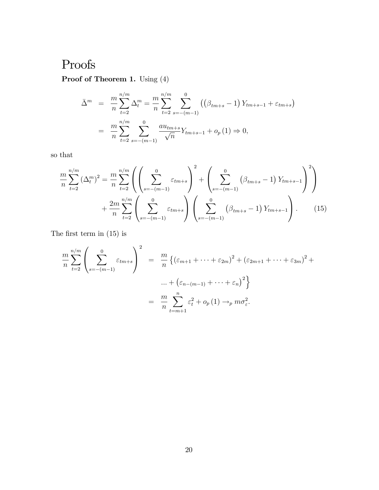# Proofs

Proof of Theorem 1. Using  $(4)$ 

$$
\bar{\Delta}^{m} = \frac{m}{n} \sum_{t=2}^{n/m} \Delta_{t}^{m} = \frac{m}{n} \sum_{t=2}^{n/m} \sum_{s=-(m-1)}^{0} ((\beta_{tm+s} - 1) Y_{tm+s-1} + \varepsilon_{tm+s})
$$
  
= 
$$
\frac{m}{n} \sum_{t=2}^{n/m} \sum_{s=-(m-1)}^{0} \frac{a u_{tm+s}}{\sqrt{n}} Y_{tm+s-1} + o_{p}(1) \Rightarrow 0,
$$

so that

$$
\frac{m}{n} \sum_{t=2}^{n/m} (\Delta_t^m)^2 = \frac{m}{n} \sum_{t=2}^{n/m} \left( \left( \sum_{s=-(m-1)}^0 \varepsilon_{tm+s} \right)^2 + \left( \sum_{s=-(m-1)}^0 (\beta_{tm+s} - 1) Y_{tm+s-1} \right)^2 \right) + \frac{2m}{n} \sum_{t=2}^{n/m} \left( \sum_{s=-(m-1)}^0 \varepsilon_{tm+s} \right) \left( \sum_{s=-(m-1)}^0 (\beta_{tm+s} - 1) Y_{tm+s-1} \right). \tag{15}
$$

The first term in  $(15)$  is

$$
\frac{m}{n} \sum_{t=2}^{n/m} \left( \sum_{s=-(m-1)}^{0} \varepsilon_{tm+s} \right)^2 = \frac{m}{n} \left\{ \left( \varepsilon_{m+1} + \dots + \varepsilon_{2m} \right)^2 + \left( \varepsilon_{2m+1} + \dots + \varepsilon_{3m} \right)^2 + \dots + \left( \varepsilon_{n-(m-1)} + \dots + \varepsilon_n \right)^2 \right\}
$$

$$
= \frac{m}{n} \sum_{t=m+1}^{n} \varepsilon_t^2 + o_p(1) \to_p m \sigma_{\varepsilon}^2.
$$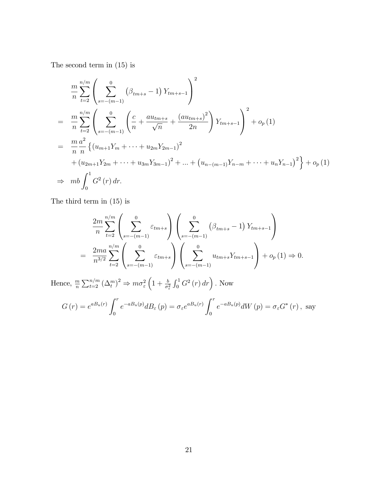The second term in (15) is

$$
\frac{m}{n} \sum_{t=2}^{n/m} \left( \sum_{s=-(m-1)}^{0} \left( \beta_{tm+s} - 1 \right) Y_{tm+s-1} \right)^2
$$
\n
$$
= \frac{m}{n} \sum_{t=2}^{n/m} \left( \sum_{s=-(m-1)}^{0} \left( \frac{c}{n} + \frac{au_{tm+s}}{\sqrt{n}} + \frac{(au_{tm+s})^2}{2n} \right) Y_{tm+s-1} \right)^2 + o_p(1)
$$
\n
$$
= \frac{m}{n} \frac{a^2}{n} \left\{ (u_{m+1}Y_m + \dots + u_{2m}Y_{2m-1})^2 + \dots + (u_{n-(m-1)}Y_{n-m} + \dots + u_nY_{n-1})^2 \right\} + o_p(1)
$$
\n
$$
\Rightarrow mb \int_0^1 G^2(r) dr.
$$

The third term in (15) is

$$
\frac{2m}{n} \sum_{t=2}^{n/m} \left( \sum_{s=-(m-1)}^{0} \varepsilon_{tm+s} \right) \left( \sum_{s=-(m-1)}^{0} \left( \beta_{tm+s} - 1 \right) Y_{tm+s-1} \right)
$$
  
= 
$$
\frac{2ma}{n^{3/2}} \sum_{t=2}^{n/m} \left( \sum_{s=-(m-1)}^{0} \varepsilon_{tm+s} \right) \left( \sum_{s=-(m-1)}^{0} u_{tm+s} Y_{tm+s-1} \right) + o_p(1) \Rightarrow 0.
$$

Hence,  $\frac{m}{n} \sum_{t=2}^{n/m} (\Delta_t^m)^2 \Rightarrow m\sigma_{\varepsilon}^2$  $\left(1+\frac{b}{\sigma_{\varepsilon}^2}\int_0^1 G^2\left(r\right)dr\right)$ . Now  $G(r) = e^{aB_u(r)} \int^r$ 0  $e^{-aB_u(p)}dB_\varepsilon(p) = \sigma_\varepsilon e^{aB_u(r)}\int^r$ 0  $e^{-aB_u(p)}dW(p) = \sigma_{\varepsilon} G^*(r)$ , say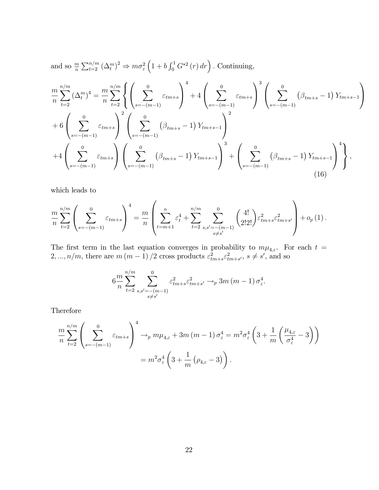and so 
$$
\frac{m}{n} \sum_{t=2}^{n/m} (\Delta_t^m)^2 \Rightarrow m\sigma_{\varepsilon}^2 (1 + b \int_0^1 G^{*2}(r) dr)
$$
. Continuing,  
\n
$$
\frac{m}{n} \sum_{t=2}^{n/m} (\Delta_t^m)^4 = \frac{m}{n} \sum_{t=2}^{n/m} \left\{ \left( \sum_{s=-(m-1)}^0 \varepsilon_{tm+s} \right)^4 + 4 \left( \sum_{s=-(m-1)}^0 \varepsilon_{tm+s} \right)^3 \left( \sum_{s=-(m-1)}^0 (\beta_{tm+s} - 1) Y_{tm+s-1} \right) \right\} + 6 \left( \sum_{s=-(m-1)}^0 \varepsilon_{tm+s} \right)^2 \left( \sum_{s=-(m-1)}^0 (\beta_{tm+s} - 1) Y_{tm+s-1} \right)^2 + 4 \left( \sum_{s=-(m-1)}^0 \varepsilon_{tm+s} \right) \left( \sum_{s=-(m-1)}^0 (\beta_{tm+s} - 1) Y_{tm+s-1} \right)^3 + \left( \sum_{s=-(m-1)}^0 (\beta_{tm+s} - 1) Y_{tm+s-1} \right)^4 \right\},
$$
\n(16)

which leads to

$$
\frac{m}{n} \sum_{t=2}^{n/m} \left( \sum_{s=-(m-1)}^{0} \varepsilon_{tm+s} \right)^4 = \frac{m}{n} \left( \sum_{t=m+1}^{n} \varepsilon_t^4 + \sum_{t=2}^{n/m} \sum_{\substack{s,s'=-(m-1) \\ s\neq s'}}^{0} \binom{4!}{2!2!} \varepsilon_{tm+s}^2 \varepsilon_{tm+s'}^2 + o_p(1) \right).
$$

The first term in the last equation converges in probability to  $m\mu_{4,\varepsilon}$ . For each  $t =$  $2, ..., n/m$ , there are  $m (m - 1) / 2$  cross products  $\varepsilon_{tm+s}^2 \varepsilon_{tm+s'}^2$ ,  $s \neq s'$ , and so

$$
6\frac{m}{n} \sum_{t=2}^{n/m} \sum_{\substack{s,s' = -(m-1) \\ s \neq s'}}^{0} \varepsilon_{tm+s}^2 \varepsilon_{tm+s'}^2 \to_p 3m(m-1) \sigma_{\varepsilon}^4.
$$

Therefore

$$
\frac{m}{n} \sum_{t=2}^{n/m} \left( \sum_{s=-(m-1)}^{0} \varepsilon_{tm+s} \right)^4 \to_p m \mu_{4,\varepsilon} + 3m (m-1) \sigma_{\varepsilon}^4 = m^2 \sigma_{\varepsilon}^4 \left( 3 + \frac{1}{m} \left( \frac{\mu_{4,\varepsilon}}{\sigma_{\varepsilon}^4} - 3 \right) \right)
$$

$$
= m^2 \sigma_{\varepsilon}^4 \left( 3 + \frac{1}{m} \left( \rho_{4,\varepsilon} - 3 \right) \right).
$$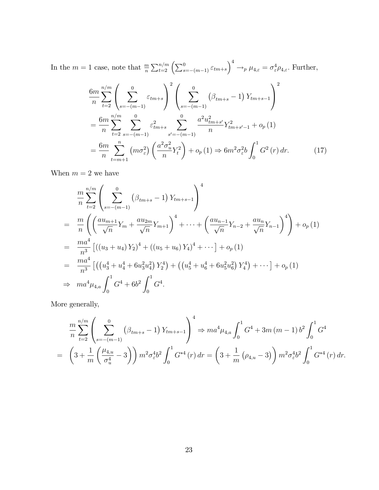In the  $m=1$  case, note that  $\frac{m}{n}\sum_{t=2}^{n/m} \left(\sum_{s=-(m-1)}^{0} \varepsilon_{tm+s}\right)^4 \to_p \mu_{4,\varepsilon} = \sigma_{\varepsilon}^4 \rho_{4,\varepsilon}$ . Further,

$$
\frac{6m}{n} \sum_{t=2}^{n/m} \left( \sum_{s=-(m-1)}^{0} \varepsilon_{tm+s} \right)^2 \left( \sum_{s=-(m-1)}^{0} \left( \beta_{tm+s} - 1 \right) Y_{tm+s-1} \right)^2
$$
\n
$$
= \frac{6m}{n} \sum_{t=2}^{n/m} \sum_{s=-(m-1)}^{0} \varepsilon_{tm+s}^2 \sum_{s'=-(m-1)}^{0} \frac{a^2 u_{tm+s'}^2}{n} Y_{tm+s'-1}^2 + o_p(1)
$$
\n
$$
= \frac{6m}{n} \sum_{t=m+1}^{n} \left( m \sigma_{\varepsilon}^2 \right) \left( \frac{a^2 \sigma_u^2}{n} Y_t^2 \right) + o_p(1) \Rightarrow 6m^2 \sigma_{\varepsilon}^2 b \int_0^1 G^2(r) dr. \tag{17}
$$

When  $m = 2$  we have

$$
\frac{m}{n} \sum_{t=2}^{n/m} \left( \sum_{s=-(m-1)}^{0} (\beta_{tm+s} - 1) Y_{tm+s-1} \right)^4
$$
\n
$$
= \frac{m}{n} \left( \left( \frac{au_{m+1}}{\sqrt{n}} Y_m + \frac{au_{2m}}{\sqrt{n}} Y_{m+1} \right)^4 + \dots + \left( \frac{au_{n-1}}{\sqrt{n}} Y_{n-2} + \frac{au_n}{\sqrt{n}} Y_{n-1} \right)^4 \right) + o_p(1)
$$
\n
$$
= \frac{ma^4}{n^3} \left[ ((u_3 + u_4) Y_2)^4 + ((u_5 + u_6) Y_4)^4 + \dots \right] + o_p(1)
$$
\n
$$
= \frac{ma^4}{n^3} \left[ \left( \left( u_3^4 + u_4^4 + 6 u_3^2 u_4^2 \right) Y_2^4 \right) + \left( \left( u_5^4 + u_6^4 + 6 u_5^2 u_6^2 \right) Y_4^4 \right) + \dots \right] + o_p(1)
$$
\n
$$
\Rightarrow ma^4 \mu_{4,a} \int_0^1 G^4 + 6b^2 \int_0^1 G^4.
$$

More generally,

$$
\frac{m}{n} \sum_{t=2}^{n/m} \left( \sum_{s=-(m-1)}^{0} \left( \beta_{tm+s} - 1 \right) Y_{tm+s-1} \right)^4 \Rightarrow ma^4 \mu_{4,a} \int_0^1 G^4 + 3m (m-1) b^2 \int_0^1 G^4
$$
  
=  $\left( 3 + \frac{1}{m} \left( \frac{\mu_{4,a}}{\sigma_u^4} - 3 \right) \right) m^2 \sigma_{\varepsilon}^4 b^2 \int_0^1 G^{*4}(r) dr = \left( 3 + \frac{1}{m} \left( \rho_{4,a} - 3 \right) \right) m^2 \sigma_{\varepsilon}^4 b^2 \int_0^1 G^{*4}(r) dr.$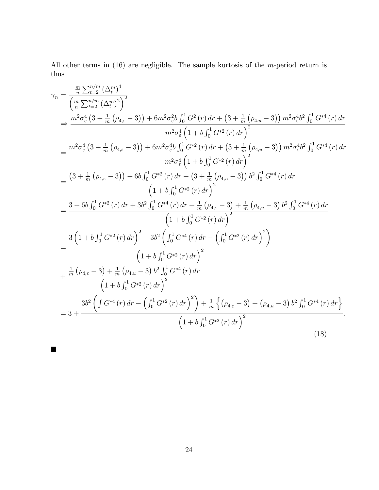All other terms in (16) are negligible. The sample kurtosis of the m-period return is thus

$$
\gamma_{n} = \frac{\frac{m}{n} \sum_{t=2}^{n/m} (\Delta_{t}^{m})^{4}}{\left(\frac{m}{n} \sum_{t=2}^{n/m} (\Delta_{t}^{m})^{2}\right)^{2}}
$$
\n
$$
\Rightarrow \frac{m^{2} \sigma_{\varepsilon}^{4} (3 + \frac{1}{m} \left(\rho_{4,\varepsilon} - 3\right)) + 6m^{2} \sigma_{\varepsilon}^{2} b \int_{0}^{1} G^{2}(r) dr + \left(3 + \frac{1}{m} \left(\rho_{4,u} - 3\right)\right) m^{2} \sigma_{\varepsilon}^{4} b \int_{0}^{1} G^{*4}(r) dr}{m^{2} \sigma_{\varepsilon}^{4} \left(1 + b \int_{0}^{1} G^{*2}(r) dr + \left(3 + \frac{1}{m} \left(\rho_{4,u} - 3\right)\right) m^{2} \sigma_{\varepsilon}^{4} b^{2} \int_{0}^{1} G^{*4}(r) dr}{m^{2} \sigma_{\varepsilon}^{4} \left(1 + b \int_{0}^{1} G^{*2}(r) dr + \left(3 + \frac{1}{m} \left(\rho_{4,u} - 3\right)\right) m^{2} \sigma_{\varepsilon}^{4} b^{2} \int_{0}^{1} G^{*4}(r) dr}{m^{2} \sigma_{\varepsilon}^{4} \left(1 + b \int_{0}^{1} G^{*2}(r) dr\right)^{2}}
$$
\n
$$
= \frac{\left(3 + \frac{1}{m} \left(\rho_{4,\varepsilon} - 3\right)\right) + 6b \int_{0}^{1} G^{*2}(r) dr + \left(3 + \frac{1}{m} \left(\rho_{4,u} - 3\right)\right) b^{2} \int_{0}^{1} G^{*4}(r) dr}{\left(1 + b \int_{0}^{1} G^{*2}(r) dr\right)^{2}}
$$
\n
$$
= \frac{3 + 6b \int_{0}^{1} G^{*2}(r) dr + 3b^{2} \int_{0}^{1} G^{*4}(r) dr + \frac{1}{m} \left(\rho_{4,\varepsilon} - 3\right) + \frac{1}{m} \left(\rho_{4,u} - 3\right) b^{2} \int_{0}^{1} G^{*4}(r) dr}{\left(1 + b \int_{0}^{1} G^{*2}(r) dr\
$$

 $\blacksquare$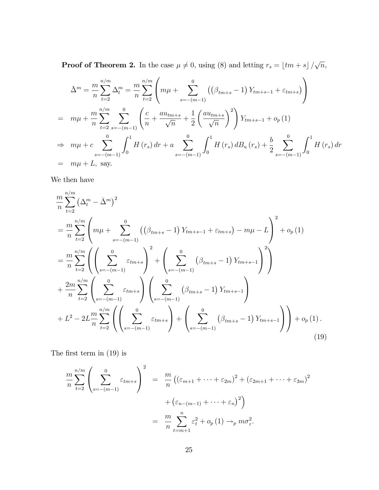**Proof of Theorem 2.** In the case  $\mu \neq 0$ , using (8) and letting  $r_s = \lfloor tm + s \rfloor / \sqrt{n}$ ,

$$
\bar{\Delta}^{m} = \frac{m}{n} \sum_{t=2}^{n/m} \Delta_{t}^{m} = \frac{m}{n} \sum_{t=2}^{n/m} \left( m\mu + \sum_{s=-(m-1)}^{0} \left( (\beta_{tm+s} - 1) Y_{tm+s-1} + \varepsilon_{tm+s} \right) \right)
$$
  
\n
$$
= m\mu + \frac{m}{n} \sum_{t=2}^{n/m} \sum_{s=-(m-1)}^{0} \left( \frac{c}{n} + \frac{au_{tm+s}}{\sqrt{n}} + \frac{1}{2} \left( \frac{au_{tm+s}}{\sqrt{n}} \right)^{2} \right) Y_{tm+s-1} + o_{p}(1)
$$
  
\n
$$
\Rightarrow m\mu + c \sum_{s=-(m-1)}^{0} \int_{0}^{1} H(r_{s}) dr + a \sum_{s=-(m-1)}^{0} \int_{0}^{1} H(r_{s}) dB_{u}(r_{s}) + \frac{b}{2} \sum_{s=-(m-1)}^{0} \int_{0}^{1} H(r_{s}) dr
$$
  
\n
$$
= m\mu + L, \text{ say.}
$$

We then have

$$
\frac{m}{n} \sum_{t=2}^{n/m} \left( \Delta_t^m - \bar{\Delta}^m \right)^2
$$
\n
$$
= \frac{m}{n} \sum_{t=2}^{n/m} \left( m\mu + \sum_{s=-(m-1)}^0 \left( \left( \beta_{tm+s} - 1 \right) Y_{tm+s-1} + \varepsilon_{tm+s} \right) - m\mu - L \right)^2 + o_p(1)
$$
\n
$$
= \frac{m}{n} \sum_{t=2}^{n/m} \left( \left( \sum_{s=-(m-1)}^0 \varepsilon_{tm+s} \right)^2 + \left( \sum_{s=-(m-1)}^0 \left( \beta_{tm+s} - 1 \right) Y_{tm+s-1} \right)^2 \right)
$$
\n
$$
+ \frac{2m}{n} \sum_{t=2}^{n/m} \left( \sum_{s=-(m-1)}^0 \varepsilon_{tm+s} \right) \left( \sum_{s=-(m-1)}^0 \left( \beta_{tm+s} - 1 \right) Y_{tm+s-1} \right)
$$
\n
$$
+ L^2 - 2L \frac{m}{n} \sum_{t=2}^{n/m} \left( \left( \sum_{s=-(m-1)}^0 \varepsilon_{tm+s} \right) + \left( \sum_{s=-(m-1)}^0 \left( \beta_{tm+s} - 1 \right) Y_{tm+s-1} \right) \right) + o_p(1).
$$
\n(19)

The first term in  $(19)$  is

$$
\frac{m}{n} \sum_{t=2}^{n/m} \left( \sum_{s=-(m-1)}^{0} \varepsilon_{tm+s} \right)^2 = \frac{m}{n} \left( \left( \varepsilon_{m+1} + \dots + \varepsilon_{2m} \right)^2 + \left( \varepsilon_{2m+1} + \dots + \varepsilon_{3m} \right)^2 \right)
$$

$$
+ \left( \varepsilon_{n-(m-1)} + \dots + \varepsilon_n \right)^2 \right)
$$

$$
= \frac{m}{n} \sum_{t=m+1}^{n} \varepsilon_t^2 + o_p(1) \to_p m \sigma_{\varepsilon}^2.
$$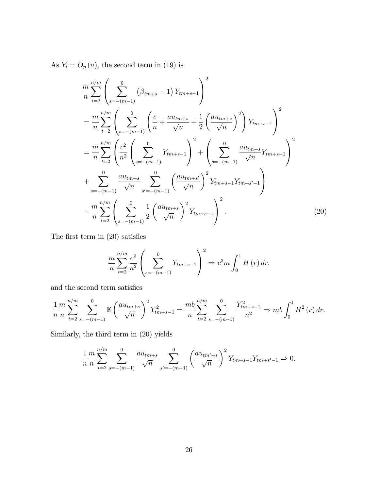As  $Y_t = O_p(n)$ , the second term in (19) is

$$
\frac{m}{n} \sum_{t=2}^{n/m} \left( \sum_{s=-(m-1)}^{0} (\beta_{tm+s} - 1) Y_{tm+s-1} \right)^2
$$
\n
$$
= \frac{m}{n} \sum_{t=2}^{n/m} \left( \sum_{s=-(m-1)}^{0} \left( \frac{c}{n} + \frac{au_{tm+s}}{\sqrt{n}} + \frac{1}{2} \left( \frac{au_{tm+s}}{\sqrt{n}} \right)^2 \right) Y_{tm+s-1} \right)^2
$$
\n
$$
= \frac{m}{n} \sum_{t=2}^{n/m} \left( \frac{c^2}{n^2} \left( \sum_{s=-(m-1)}^{0} Y_{tm+s-1} \right)^2 + \left( \sum_{s=-(m-1)}^{0} \frac{au_{tm+s}}{\sqrt{n}} Y_{tm+s-1} \right)^2 + \sum_{s=-(m-1)}^{0} \frac{au_{tm+s}}{\sqrt{n}} \sum_{s'=-(m-1)}^{0} \left( \frac{au_{tm+s'}}{\sqrt{n}} \right)^2 Y_{tm+s-1} Y_{tm+s'-1} \right)
$$
\n
$$
+ \frac{m}{n} \sum_{t=2}^{n/m} \left( \sum_{s=-(m-1)}^{0} \frac{1}{2} \left( \frac{au_{tm+s}}{\sqrt{n}} \right)^2 Y_{tm+s-1} \right)^2.
$$
\n(20)

The first term in  $(20)$  satisfies

$$
\frac{m}{n} \sum_{t=2}^{n/m} \frac{c^2}{n^2} \left( \sum_{s=-(m-1)}^0 Y_{tm+s-1} \right)^2 \Rightarrow c^2 m \int_0^1 H(r) \, dr,
$$

and the second term satisfies

$$
\frac{1}{n}\frac{m}{n}\sum_{t=2}^{n/m}\sum_{s=-(m-1)}^{0} \mathbb{E}\left(\frac{au_{tm+s}}{\sqrt{n}}\right)^2 Y_{tm+s-1}^2 = \frac{mb}{n}\sum_{t=2}^{n/m}\sum_{s=-(m-1)}^{0} \frac{Y_{tm+s-1}^2}{n^2} \Rightarrow mb \int_0^1 H^2(r) dr.
$$

Similarly, the third term in (20) yields

$$
\frac{1}{n} \frac{m}{n} \sum_{t=2}^{n/m} \sum_{s=-(m-1)}^{0} \frac{au_{tm+s}}{\sqrt{n}} \sum_{s'=-(m-1)}^{0} \left(\frac{au_{tm'+s}}{\sqrt{n}}\right)^2 Y_{tm+s-1} Y_{tm+s'-1} \Rightarrow 0.
$$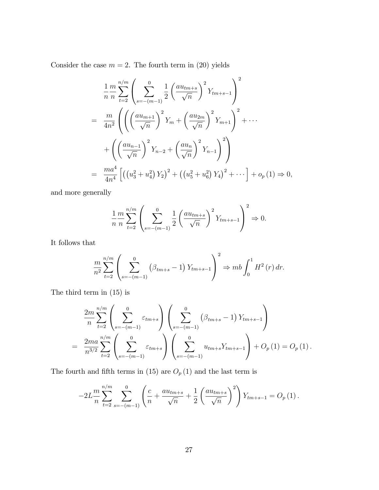Consider the case  $m = 2$ . The fourth term in (20) yields

$$
\frac{1}{n} \frac{m}{n} \sum_{t=2}^{n/m} \left( \sum_{s=-(m-1)}^{0} \frac{1}{2} \left( \frac{au_{tm+s}}{\sqrt{n}} \right)^2 Y_{tm+s-1} \right)^2
$$
\n
$$
= \frac{m}{4n^2} \left( \left( \left( \frac{au_{m+1}}{\sqrt{n}} \right)^2 Y_m + \left( \frac{au_{2m}}{\sqrt{n}} \right)^2 Y_{m+1} \right)^2 + \cdots + \left( \left( \frac{au_{n-1}}{\sqrt{n}} \right)^2 Y_{n-2} + \left( \frac{au_n}{\sqrt{n}} \right)^2 Y_{n-1} \right)^2 \right)
$$
\n
$$
= \frac{ma^4}{4n^4} \left[ \left( \left( u_3^2 + u_4^2 \right) Y_2 \right)^2 + \left( \left( u_5^2 + u_6^2 \right) Y_4 \right)^2 + \cdots \right] + o_p \left( 1 \right) \Rightarrow 0,
$$

and more generally

$$
\frac{1}{n} \frac{m}{n} \sum_{t=2}^{n/m} \left( \sum_{s=-(m-1)}^0 \frac{1}{2} \left( \frac{au_{tm+s}}{\sqrt{n}} \right)^2 Y_{tm+s-1} \right)^2 \Rightarrow 0.
$$

It follows that

$$
\frac{m}{n^2} \sum_{t=2}^{n/m} \left( \sum_{s=-(m-1)}^0 \left( \beta_{tm+s} - 1 \right) Y_{tm+s-1} \right)^2 \Rightarrow mb \int_0^1 H^2(r) \, dr.
$$

The third term in (15) is

$$
\frac{2m}{n} \sum_{t=2}^{n/m} \left( \sum_{s=-(m-1)}^{0} \varepsilon_{tm+s} \right) \left( \sum_{s=-(m-1)}^{0} \left( \beta_{tm+s} - 1 \right) Y_{tm+s-1} \right)
$$
  
= 
$$
\frac{2ma}{n^{3/2}} \sum_{t=2}^{n/m} \left( \sum_{s=-(m-1)}^{0} \varepsilon_{tm+s} \right) \left( \sum_{s=-(m-1)}^{0} u_{tm+s} Y_{tm+s-1} \right) + O_p(1) = O_p(1).
$$

The fourth and fifth terms in (15) are  $O_p(1)$  and the last term is

$$
-2L\frac{m}{n}\sum_{t=2}^{n/m}\sum_{s=-(m-1)}^{0}\left(\frac{c}{n}+\frac{au_{tm+s}}{\sqrt{n}}+\frac{1}{2}\left(\frac{au_{tm+s}}{\sqrt{n}}\right)^2\right)Y_{tm+s-1}=O_p(1).
$$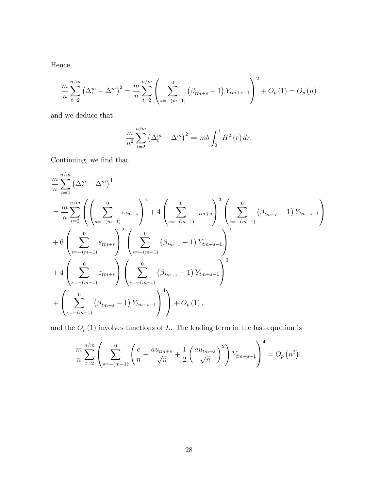Hence,

$$
\frac{m}{n} \sum_{t=2}^{n/m} \left( \Delta_t^m - \bar{\Delta}^m \right)^2 = \frac{m}{n} \sum_{t=2}^{n/m} \left( \sum_{s=-(m-1)}^0 \left( \beta_{tm+s} - 1 \right) Y_{tm+s-1} \right)^2 + O_p(1) = O_p(n)
$$

and we deduce that

$$
\frac{m}{n^2} \sum_{t=2}^{n/m} \left(\Delta_t^m - \bar{\Delta}^m\right)^2 \Rightarrow mb \int_0^1 H^2(r) \, dr.
$$

Continuing, we find that

$$
\frac{m}{n} \sum_{t=2}^{n/m} (\Delta_t^m - \bar{\Delta}^m)^4
$$
\n
$$
= \frac{m}{n} \sum_{t=2}^{n/m} \left( \left( \sum_{s=-(m-1)}^0 \varepsilon_{tm+s} \right)^4 + 4 \left( \sum_{s=-(m-1)}^0 \varepsilon_{tm+s} \right)^3 \left( \sum_{s=-(m-1)}^0 (\beta_{tm+s} - 1) Y_{tm+s-1} \right)
$$
\n+ 6  $\left( \sum_{s=-(m-1)}^0 \varepsilon_{tm+s} \right)^2 \left( \sum_{s=-(m-1)}^0 (\beta_{tm+s} - 1) Y_{tm+s-1} \right)^2$ \n+ 4  $\left( \sum_{s=-(m-1)}^0 \varepsilon_{tm+s} \right) \left( \sum_{s=-(m-1)}^0 (\beta_{tm+s} - 1) Y_{tm+s-1} \right)^3$ \n+  $\left( \sum_{s=-(m-1)}^0 (\beta_{tm+s} - 1) Y_{tm+s-1} \right)^4$  +  $O_p(1)$ ,

and the  $O_p(1)$  involves functions of L. The leading term in the last equation is

$$
\frac{m}{n} \sum_{t=2}^{n/m} \left( \sum_{s=-(m-1)}^{0} \left( \frac{c}{n} + \frac{au_{tm+s}}{\sqrt{n}} + \frac{1}{2} \left( \frac{au_{tm+s}}{\sqrt{n}} \right)^2 \right) Y_{tm+s-1} \right)^4 = O_p(n^2).
$$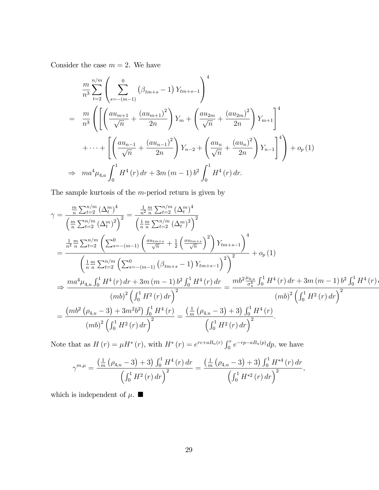Consider the case  $m = 2$ . We have

$$
\frac{m}{n^3} \sum_{t=2}^{n/m} \left( \sum_{s=-(m-1)}^{0} \left( \beta_{tm+s} - 1 \right) Y_{tm+s-1} \right)^4
$$
\n
$$
= \frac{m}{n^3} \left( \left[ \left( \frac{a u_{m+1}}{\sqrt{n}} + \frac{(a u_{m+1})^2}{2n} \right) Y_m + \left( \frac{a u_{2m}}{\sqrt{n}} + \frac{(a u_{2m})^2}{2n} \right) Y_{m+1} \right]^4
$$
\n
$$
+ \cdots + \left[ \left( \frac{a u_{n-1}}{\sqrt{n}} + \frac{(a u_{n-1})^2}{2n} \right) Y_{n-2} + \left( \frac{a u_n}{\sqrt{n}} + \frac{(a u_n)^2}{2n} \right) Y_{n-1} \right]^4 \right) + o_p(1)
$$
\n
$$
\Rightarrow ma^4 \mu_{4,a} \int_0^1 H^4(r) dr + 3m (m-1) b^2 \int_0^1 H^4(r) dr.
$$

The sample kurtosis of the  $m$ -period return is given by

$$
\gamma = \frac{\frac{m}{n} \sum_{t=2}^{n/m} (\Delta_t^m)^4}{\left(\frac{m}{n} \sum_{t=2}^{n/m} (\Delta_t^m)^2\right)^2} = \frac{\frac{1}{n^2} \frac{m}{n} \sum_{t=2}^{n/m} (\Delta_t^m)^4}{\left(\frac{1}{n} \frac{m}{n} \sum_{t=2}^{n/m} (\Delta_t^m)^2\right)^2}
$$
  
\n
$$
= \frac{\frac{1}{n^2} \frac{m}{n} \sum_{t=2}^{n/m} (\sum_{s=-(m-1)}^0 \left(\frac{au_{tm+s}}{\sqrt{n}} + \frac{1}{2} \left(\frac{au_{tm+s}}{\sqrt{n}}\right)^2\right) Y_{tm+s-1}\right)^4}{\left(\frac{1}{n} \frac{m}{n} \sum_{t=2}^{n/m} (\sum_{s=-(m-1)}^0 (\beta_{tm+s} - 1) Y_{tm+s-1})\right)^2} + o_p(1)
$$
  
\n
$$
\Rightarrow \frac{ma^4 \mu_{4,u} \int_0^1 H^4(r) dr + 3m (m-1) b^2 \int_0^1 H^4(r) dr}{(mb)^2 \left(\int_0^1 H^2(r) dr\right)^2} = \frac{mb^2 \frac{\mu_{4,u}}{\sigma_u^4} \int_0^1 H^4(r) dr + 3m (m-1) b^2 \int_0^1 H^4(r) dr}{(mb)^2 \left(\int_0^1 H^2(r) dr\right)^2}
$$
  
\n
$$
= \frac{(mb^2 (\rho_{4,u} - 3) + 3m^2 b^2) \int_0^1 H^4(r)}{(mb)^2 \left(\int_0^1 H^2(r) dr\right)^2} = \frac{\left(\frac{1}{m} (\rho_{4,u} - 3) + 3\right) \int_0^1 H^4(r)}{\left(\int_0^1 H^2(r) dr\right)^2}.
$$

Note that as  $H(r) = \mu H^*(r)$ , with  $H^*(r) = e^{rc + aB_u(r)} \int_0^r e^{-rp - aB_u(p)} dp$ , we have

$$
\gamma^{m,\mu} = \frac{\left(\frac{1}{m} \left(\rho_{4,u} - 3\right) + 3\right) \int_0^1 H^4\left(r\right) dr}{\left(\int_0^1 H^2\left(r\right) dr\right)^2} = \frac{\left(\frac{1}{m} \left(\rho_{4,u} - 3\right) + 3\right) \int_0^1 H^{*4}\left(r\right) dr}{\left(\int_0^1 H^{*2}\left(r\right) dr\right)^2},
$$

which is independent of  $\mu$ .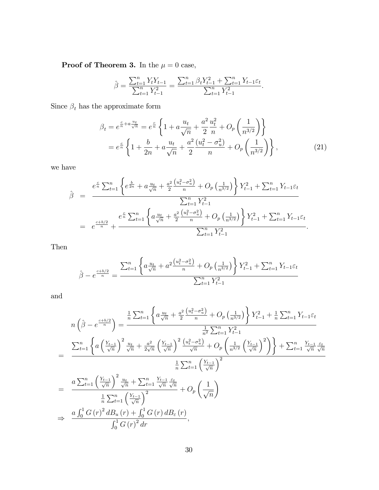**Proof of Theorem 3.** In the  $\mu = 0$  case,

$$
\hat{\beta} = \frac{\sum_{t=1}^{n} Y_t Y_{t-1}}{\sum_{t=1}^{n} Y_{t-1}^2} = \frac{\sum_{t=1}^{n} \beta_t Y_{t-1}^2 + \sum_{t=1}^{n} Y_{t-1} \varepsilon_t}{\sum_{t=1}^{n} Y_{t-1}^2}.
$$

Since  $\beta_t$  has the approximate form

$$
\beta_t = e^{\frac{c}{n} + a\frac{u_t}{\sqrt{n}}} = e^{\frac{c}{n}} \left\{ 1 + a\frac{u_t}{\sqrt{n}} + \frac{a^2}{2} \frac{u_t^2}{n} + O_p\left(\frac{1}{n^{3/2}}\right) \right\}
$$
  
=  $e^{\frac{c}{n}} \left\{ 1 + \frac{b}{2n} + a\frac{u_t}{\sqrt{n}} + \frac{a^2}{2} \frac{(u_t^2 - \sigma_u^2)}{n} + O_p\left(\frac{1}{n^{3/2}}\right) \right\},$  (21)

we have

$$
\hat{\beta} = \frac{e^{\frac{c}{n} \sum_{t=1}^{n} \left\{ e^{\frac{b}{2n}} + a \frac{u_t}{\sqrt{n}} + \frac{a^2}{2} \frac{\left(u_t^2 - \sigma_u^2\right)}{n} + O_p\left(\frac{1}{n^{3/2}}\right) \right\} Y_{t-1}^2 + \sum_{t=1}^{n} Y_{t-1} \varepsilon_t}{\sum_{t=1}^{n} Y_{t-1}^2}
$$
\n
$$
= e^{\frac{c+b/2}{n}} + \frac{e^{\frac{c}{n} \sum_{t=1}^{n} \left\{ a \frac{u_t}{\sqrt{n}} + \frac{a^2}{2} \frac{\left(u_t^2 - \sigma_u^2\right)}{n} + O_p\left(\frac{1}{n^{3/2}}\right) \right\} Y_{t-1}^2 + \sum_{t=1}^{n} Y_{t-1} \varepsilon_t}{\sum_{t=1}^{n} Y_{t-1}^2}.
$$

Then

$$
\hat{\beta} - e^{\frac{c+b/2}{n}} = \frac{\sum_{t=1}^{n} \left\{ a \frac{u_t}{\sqrt{n}} + a^2 \frac{(u_t^2 - \sigma_u^2)}{n} + O_p\left(\frac{1}{n^{3/2}}\right) \right\} Y_{t-1}^2 + \sum_{t=1}^{n} Y_{t-1} \varepsilon_t}{\sum_{t=1}^{n} Y_{t-1}^2}
$$

and

$$
n\left(\hat{\beta} - e^{\frac{c+b/2}{n}}\right) = \frac{\frac{1}{n}\sum_{t=1}^{n}\left\{a\frac{u_{t}}{\sqrt{n}} + \frac{a^{2}}{2}\frac{\left(u_{t}^{2} - \sigma_{u}^{2}\right)}{n} + O_{p}\left(\frac{1}{n^{3/2}}\right)\right\}Y_{t-1}^{2} + \frac{1}{n}\sum_{t=1}^{n}Y_{t-1}\varepsilon_{t}}{n^{3/2}}
$$
\n
$$
= \frac{\sum_{t=1}^{n}\left\{a\left(\frac{Y_{t-1}}{\sqrt{n}}\right)^{2}\frac{u_{t}}{\sqrt{n}} + \frac{a^{2}}{2\sqrt{n}}\left(\frac{Y_{t-1}}{\sqrt{n}}\right)^{2}\frac{\left(u_{t}^{2} - \sigma_{u}^{2}\right)}{\sqrt{n}} + O_{p}\left(\frac{1}{n^{3/2}}\left(\frac{Y_{t-1}}{\sqrt{n}}\right)^{2}\right)\right\} + \sum_{t=1}^{n}\frac{Y_{t-1}}{\sqrt{n}}\frac{\varepsilon_{t}}{\sqrt{n}}
$$
\n
$$
= \frac{a\sum_{t=1}^{n}\left(\frac{Y_{t-1}}{\sqrt{n}}\right)^{2}\frac{u_{t}}{\sqrt{n}} + \sum_{t=1}^{n}\frac{Y_{t-1}}{\sqrt{n}}\frac{\varepsilon_{t}}{\sqrt{n}}}{\sqrt{n}} + O_{p}\left(\frac{1}{\sqrt{n}}\right)^{2}}
$$
\n
$$
\frac{1}{n}\sum_{t=1}^{n}\left(\frac{Y_{t-1}}{\sqrt{n}}\right)^{2}
$$
\n
$$
\frac{a\int_{0}^{1}G\left(r\right)^{2}dB_{u}\left(r\right) + \int_{0}^{1}G\left(r\right)dB_{\varepsilon}\left(r\right)}{\int_{0}^{1}G\left(r\right)^{2}dr},
$$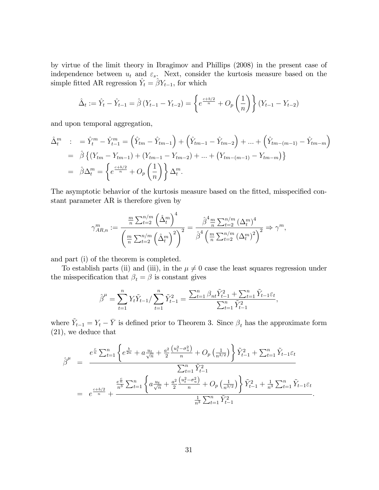by virtue of the limit theory in Ibragimov and Phillips (2008) in the present case of independence between  $u_t$  and  $\varepsilon_s$ . Next, consider the kurtosis measure based on the simple fitted AR regression  $\hat{Y}_t = \hat{\beta} Y_{t-1}$ , for which

$$
\hat{\Delta}_t := \hat{Y}_t - \hat{Y}_{t-1} = \hat{\beta} \left( Y_{t-1} - Y_{t-2} \right) = \left\{ e^{\frac{c+b/2}{n}} + O_p \left( \frac{1}{n} \right) \right\} \left( Y_{t-1} - Y_{t-2} \right)
$$

and upon temporal aggregation,

$$
\hat{\Delta}_t^m : = \hat{Y}_t^m - \hat{Y}_{t-1}^m = (\hat{Y}_{tm} - \hat{Y}_{tm-1}) + (\hat{Y}_{tm-1} - \hat{Y}_{tm-2}) + ... + (\hat{Y}_{tm-(m-1)} - \hat{Y}_{tm-m})
$$
\n
$$
= \hat{\beta} \{ (Y_{tm} - Y_{tm-1}) + (Y_{tm-1} - Y_{tm-2}) + ... + (Y_{tm-(m-1)} - Y_{tm-m}) \}
$$
\n
$$
= \hat{\beta} \Delta_t^m = \left\{ e^{\frac{c+b/2}{n}} + O_p \left( \frac{1}{n} \right) \right\} \Delta_t^m.
$$

The asymptotic behavior of the kurtosis measure based on the fitted, misspecified constant parameter AR is therefore given by

$$
\gamma_{AR,n}^{m} := \frac{\frac{m}{n} \sum_{t=2}^{n/m} (\hat{\Delta}_t^m)^4}{\left(\frac{m}{n} \sum_{t=2}^{n/m} (\hat{\Delta}_t^m)^2\right)^2} = \frac{\hat{\beta}^4 \frac{m}{n} \sum_{t=2}^{n/m} (\Delta_t^m)^4}{\hat{\beta}^4 \left(\frac{m}{n} \sum_{t=2}^{n/m} (\Delta_t^m)^2\right)^2} \Rightarrow \gamma^m,
$$

and part (i) of the theorem is completed.

To establish parts (ii) and (iii), in the  $\mu \neq 0$  case the least squares regression under the misspecification that  $\beta_t = \beta$  is constant gives

$$
\hat{\beta}^{\mu} = \sum_{t=1}^{n} Y_t \tilde{Y}_{t-1} / \sum_{t=1}^{n} \tilde{Y}_{t-1}^2 = \frac{\sum_{t=1}^{n} \beta_{nt} \tilde{Y}_{t-1}^2 + \sum_{t=1}^{n} \tilde{Y}_{t-1} \varepsilon_t}{\sum_{t=1}^{n} \tilde{Y}_{t-1}^2},
$$

where  $\tilde{Y}_{t-1} = Y_t - \bar{Y}$  is defined prior to Theorem 3. Since  $\beta_t$  has the approximate form (21), we deduce that

$$
\hat{\beta}^{\mu} = \frac{e^{\frac{c}{n}\sum_{t=1}^{n} \left\{e^{\frac{b}{2n}} + a\frac{u_{t}}{\sqrt{n}} + \frac{a^{2}}{2}\frac{\left(u_{t}^{2} - \sigma_{u}^{2}\right)}{n} + O_{p}\left(\frac{1}{n^{3/2}}\right)\right\}\tilde{Y}_{t-1}^{2} + \sum_{t=1}^{n}\tilde{Y}_{t-1}\varepsilon_{t}}}{\sum_{t=1}^{n}\tilde{Y}_{t-1}^{2}}
$$
\n
$$
= e^{\frac{c+b/2}{n} + \frac{\frac{e^{\frac{c}{n}}}{n^{3}}\sum_{t=1}^{n} \left\{a\frac{u_{t}}{\sqrt{n}} + \frac{a^{2}}{2}\frac{\left(u_{t}^{2} - \sigma_{u}^{2}\right)}{n} + O_{p}\left(\frac{1}{n^{3/2}}\right)\right\}\tilde{Y}_{t-1}^{2} + \frac{1}{n^{3}\sum_{t=1}^{n}\tilde{Y}_{t-1}\varepsilon_{t}}}{\frac{1}{n^{3}\sum_{t=1}^{n}\tilde{Y}_{t-1}^{2}}}.
$$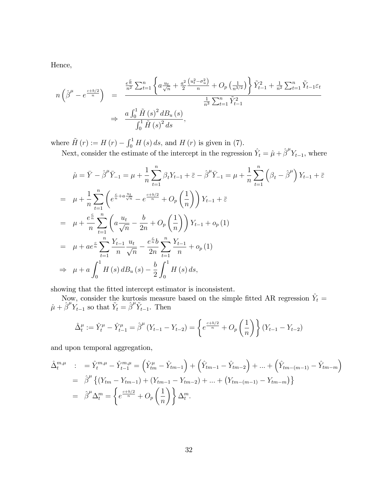Hence,

$$
n\left(\hat{\beta}^{\mu} - e^{\frac{c+b/2}{n}}\right) = \frac{\frac{e^{\frac{c}{n}}}{n^2} \sum_{t=1}^n \left\{ a \frac{u_t}{\sqrt{n}} + \frac{a^2}{2} \frac{\left(u_t^2 - \sigma_u^2\right)}{n} + O_p\left(\frac{1}{n^{3/2}}\right) \right\} \tilde{Y}_{t-1}^2 + \frac{1}{n^2} \sum_{t=1}^n \tilde{Y}_{t-1} \varepsilon_t}{\frac{1}{n^3} \sum_{t=1}^n \tilde{Y}_{t-1}^2}
$$
  

$$
\Rightarrow \frac{a \int_0^1 \tilde{H}\left(s\right)^2 d_s}{\int_0^1 \tilde{H}\left(s\right)^2 ds},
$$

where  $\tilde{H}(r) := H(r) - \int_0^1 H(s) ds$ , and  $H(r)$  is given in (7).

Next, consider the estimate of the intercept in the regression  $\hat{Y}_t = \hat{\mu} + \hat{\beta}^\mu Y_{t-1}$ , where

$$
\hat{\mu} = \bar{Y} - \hat{\beta}^{\mu}\bar{Y}_{-1} = \mu + \frac{1}{n} \sum_{t=1}^{n} \beta_{t} Y_{t-1} + \bar{\varepsilon} - \hat{\beta}^{\mu}\bar{Y}_{-1} = \mu + \frac{1}{n} \sum_{t=1}^{n} \left( \beta_{t} - \hat{\beta}^{\mu} \right) Y_{t-1} + \bar{\varepsilon}
$$
\n
$$
= \mu + \frac{1}{n} \sum_{t=1}^{n} \left( e^{\frac{c}{n} + a \frac{u_{t}}{\sqrt{n}}} - e^{\frac{c+b/2}{n}} + O_{p} \left( \frac{1}{n} \right) \right) Y_{t-1} + \bar{\varepsilon}
$$
\n
$$
= \mu + \frac{e^{\frac{c}{n}}}{n} \sum_{t=1}^{n} \left( a \frac{u_{t}}{\sqrt{n}} - \frac{b}{2n} + O_{p} \left( \frac{1}{n} \right) \right) Y_{t-1} + o_{p} (1)
$$
\n
$$
= \mu + a e^{\frac{c}{n}} \sum_{t=1}^{n} \frac{Y_{t-1}}{n} \frac{u_{t}}{\sqrt{n}} - \frac{e^{\frac{c}{n}b}}{2n} \sum_{t=1}^{n} \frac{Y_{t-1}}{n} + o_{p} (1)
$$
\n
$$
\Rightarrow \mu + a \int_{0}^{1} H(s) dB_{u}(s) - \frac{b}{2} \int_{0}^{1} H(s) ds,
$$

showing that the fitted intercept estimator is inconsistent.

Now, consider the kurtosis measure based on the simple fitted AR regression  $\hat{Y}_t =$  $\hat{\mu} + \hat{\beta}^{\mu} Y_{t-1}$  so that  $\tilde{Y}_t = \hat{\beta}^{\mu} \tilde{Y}_{t-1}$ . Then

$$
\hat{\Delta}_t^{\mu} := \hat{Y}_t^{\mu} - \hat{Y}_{t-1}^{\mu} = \hat{\beta}^{\mu} (Y_{t-1} - Y_{t-2}) = \left\{ e^{\frac{c+b/2}{n}} + O_p\left(\frac{1}{n}\right) \right\} (Y_{t-1} - Y_{t-2})
$$

and upon temporal aggregation,

$$
\hat{\Delta}_{t}^{m,\mu} := \hat{Y}_{t}^{m,\mu} - \hat{Y}_{t-1}^{m,\mu} = (\hat{Y}_{tm}^{\mu} - \hat{Y}_{tm-1}) + (\hat{Y}_{tm-1} - \hat{Y}_{tm-2}) + \dots + (\hat{Y}_{tm-(m-1)} - \hat{Y}_{tm-m})
$$
\n
$$
= \hat{\beta}^{\mu} \{ (Y_{tm} - Y_{tm-1}) + (Y_{tm-1} - Y_{tm-2}) + \dots + (Y_{tm-(m-1)} - Y_{tm-m}) \}
$$
\n
$$
= \hat{\beta}^{\mu} \Delta_{t}^{m} = \left\{ e^{\frac{c+b/2}{n}} + O_{p} \left( \frac{1}{n} \right) \right\} \Delta_{t}^{m}.
$$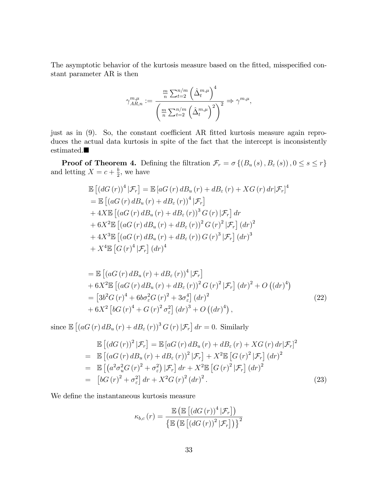The asymptotic behavior of the kurtosis measure based on the fitted, misspecified constant parameter AR is then

$$
\gamma_{AR,n}^{m,\mu} := \frac{\frac{m}{n} \sum_{t=2}^{n/m} (\hat{\Delta}_t^{m,\mu})^4}{\left(\frac{m}{n} \sum_{t=2}^{n/m} (\hat{\Delta}_t^{m,\mu})^2\right)^2} \Rightarrow \gamma^{m,\mu},
$$

just as in  $(9)$ . So, the constant coefficient AR fitted kurtosis measure again reproduces the actual data kurtosis in spite of the fact that the intercept is inconsistently  $\bullet$  stimated.<br> $\blacksquare$ 

**Proof of Theorem 4.** Defining the filtration  $\mathcal{F}_r = \sigma\left\{ (B_u(s), B_{\varepsilon}(s)), 0 \le s \le r \right\}$ and letting  $X = c + \frac{b}{2}$  $\frac{b}{2}$ , we have

$$
\mathbb{E}\left[\left(dG\left(r\right)\right)^{4}|\mathcal{F}_{r}\right] = \mathbb{E}\left[aG\left(r\right)dB_{u}\left(r\right) + dB_{\varepsilon}\left(r\right) + XG\left(r\right)dr|\mathcal{F}_{r}\right]^{4}
$$
\n
$$
= \mathbb{E}\left[\left(aG\left(r\right)dB_{u}\left(r\right) + dB_{\varepsilon}\left(r\right)\right)^{4}|\mathcal{F}_{r}\right]
$$
\n
$$
+ 4X\mathbb{E}\left[\left(aG\left(r\right)dB_{u}\left(r\right) + dB_{\varepsilon}\left(r\right)\right)^{3}G\left(r\right)|\mathcal{F}_{r}\right]dr
$$
\n
$$
+ 6X^{2}\mathbb{E}\left[\left(aG\left(r\right)dB_{u}\left(r\right) + dB_{\varepsilon}\left(r\right)\right)^{2}G\left(r\right)^{2}|\mathcal{F}_{r}\right]\left(dr\right)^{2}
$$
\n
$$
+ 4X^{3}\mathbb{E}\left[\left(aG\left(r\right)dB_{u}\left(r\right) + dB_{\varepsilon}\left(r\right)\right)G\left(r\right)^{3}|\mathcal{F}_{r}\right]\left(dr\right)^{3}
$$
\n
$$
+ X^{4}\mathbb{E}\left[G\left(r\right)^{4}|\mathcal{F}_{r}\right]\left(dr\right)^{4}
$$

$$
= \mathbb{E} \left[ \left( aG\left(r\right) dB_u\left(r\right) + dB_{\varepsilon}\left(r\right) \right)^4 | \mathcal{F}_r \right] + 6X^2 \mathbb{E} \left[ \left( aG\left(r\right) dB_u\left(r\right) + dB_{\varepsilon}\left(r\right) \right)^2 G\left(r\right)^2 | \mathcal{F}_r \right] \left( dr\right)^2 + O\left( \left( dr\right)^4 \right) = \left[ 3b^2 G\left(r\right)^4 + 6b\sigma_{\varepsilon}^2 G\left(r\right)^2 + 3\sigma_{\varepsilon}^4 \right] \left( dr\right)^2 + 6X^2 \left[ bG\left(r\right)^4 + G\left(r\right)^2 \sigma_{\varepsilon}^2 \right] \left( dr\right)^3 + O\left( \left( dr\right)^4 \right),
$$
\n(22)

since  $\mathbb{E}\left[\left(aG\left(r\right)d B_u\left(r\right)+d B_\varepsilon\left(r\right)\right)^3 G\left(r\right)|\mathcal{F}_r\right]dr=0.$  Similarly

$$
\mathbb{E}\left[\left(dG\left(r\right)\right)^{2}|\mathcal{F}_{r}\right] = \mathbb{E}\left[aG\left(r\right)dB_{u}\left(r\right) + dB_{\varepsilon}\left(r\right) + XG\left(r\right)dr|\mathcal{F}_{r}\right]^{2}
$$
\n
$$
= \mathbb{E}\left[\left(aG\left(r\right)dB_{u}\left(r\right) + dB_{\varepsilon}\left(r\right)\right)^{2}|\mathcal{F}_{r}\right] + X^{2}\mathbb{E}\left[G\left(r\right)^{2}|\mathcal{F}_{r}\right]\left(dr\right)^{2}
$$
\n
$$
= \mathbb{E}\left[\left(a^{2}\sigma_{u}^{2}G\left(r\right)^{2} + \sigma_{\varepsilon}^{2}\right)|\mathcal{F}_{r}\right]dr + X^{2}\mathbb{E}\left[G\left(r\right)^{2}|\mathcal{F}_{r}\right]\left(dr\right)^{2}
$$
\n
$$
= \left[bG\left(r\right)^{2} + \sigma_{\varepsilon}^{2}\right]dr + X^{2}G\left(r\right)^{2}\left(dr\right)^{2}.
$$
\n(23)

We define the instantaneous kurtosis measure

$$
\kappa_{b,c}(r) = \frac{\mathbb{E}\left(\mathbb{E}\left[\left(dG\left(r\right)\right)^{4}|\mathcal{F}_{r}\right]\right)}{\left\{\mathbb{E}\left(\mathbb{E}\left[\left(dG\left(r\right)\right)^{2}|\mathcal{F}_{r}\right]\right)\right\}^{2}}
$$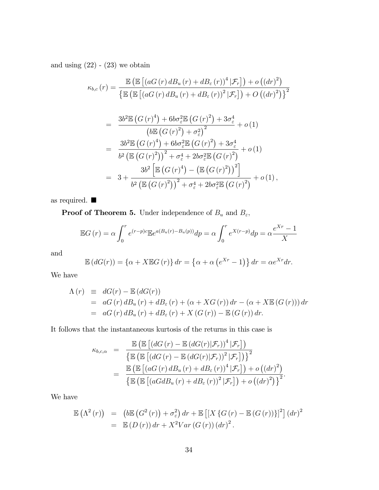and using  $(22) - (23)$  we obtain

$$
\kappa_{b,c}(r) = \frac{\mathbb{E}\left(\mathbb{E}\left[\left(aG\left(r\right)dB_u\left(r\right) + dB_{\varepsilon}\left(r\right)\right)^4|\mathcal{F}_r\right]\right) + o\left(\left(dr\right)^2\right)}{\left\{\mathbb{E}\left(\mathbb{E}\left[\left(aG\left(r\right)dB_u\left(r\right) + dB_{\varepsilon}\left(r\right)\right)^2|\mathcal{F}_r\right]\right) + O\left(\left(dr\right)^2\right)\right\}^2}
$$

$$
= \frac{3b^2 \mathbb{E} (G(r)^4) + 6b\sigma_{\varepsilon}^2 \mathbb{E} (G(r)^2) + 3\sigma_{\varepsilon}^4}{(b \mathbb{E} (G(r)^2) + \sigma_{\varepsilon}^2)^2} + o(1)
$$
  
\n
$$
= \frac{3b^2 \mathbb{E} (G(r)^4) + 6b\sigma_{\varepsilon}^2 \mathbb{E} (G(r)^2) + 3\sigma_{\varepsilon}^4}{b^2 (\mathbb{E} (G(r)^2))^2 + \sigma_{\varepsilon}^4 + 2b\sigma_{\varepsilon}^2 \mathbb{E} (G(r)^2)} + o(1)
$$
  
\n
$$
= 3 + \frac{3b^2 \left[ \mathbb{E} (G(r)^4) - (\mathbb{E} (G(r)^2))^2 \right]}{b^2 (\mathbb{E} (G(r)^2))^2 + \sigma_{\varepsilon}^4 + 2b\sigma_{\varepsilon}^2 \mathbb{E} (G(r)^2)} + o(1),
$$

as required.  $\blacksquare$ 

**Proof of Theorem 5.** Under independence of  $B_u$  and  $B_\varepsilon$ ,

$$
\mathbb{E}G(r) = \alpha \int_0^r e^{(r-p)c} \mathbb{E}e^{a(B_u(r) - B_u(p))} dp = \alpha \int_0^r e^{X(r-p)} dp = \alpha \frac{e^{Xr} - 1}{X}
$$

and

$$
\mathbb{E}\left(dG(r)\right) = \left\{\alpha + X\mathbb{E}G\left(r\right)\right\}dr = \left\{\alpha + \alpha\left(e^{Xr} - 1\right)\right\}dr = \alpha e^{Xr}dr.
$$

We have

$$
\begin{array}{rcl}\n\Lambda(r) & \equiv & dG(r) - \mathbb{E}\left(dG(r)\right) \\
& = & aG\left(r\right)dB_u\left(r\right) + dB_\varepsilon\left(r\right) + \left(\alpha + XG\left(r\right)\right)dr - \left(\alpha + X\mathbb{E}\left(G\left(r\right)\right)\right)dr \\
& = & aG\left(r\right)dB_u\left(r\right) + dB_\varepsilon\left(r\right) + X\left(G\left(r\right)\right) - \mathbb{E}\left(G\left(r\right)\right)dr.\n\end{array}
$$

It follows that the instantaneous kurtosis of the returns in this case is

$$
\kappa_{b,c,\alpha} = \frac{\mathbb{E}\left(\mathbb{E}\left[\left(dG\left(r\right) - \mathbb{E}\left(dG\left(r\right)|\mathcal{F}_r\right)\right)^4|\mathcal{F}_r\right]\right)}{\left\{\mathbb{E}\left(\mathbb{E}\left[\left(dG\left(r\right) - \mathbb{E}\left(dG\left(r\right)|\mathcal{F}_r\right)\right)^2|\mathcal{F}_r\right]\right)\right\}^2}
$$
\n
$$
= \frac{\mathbb{E}\left(\mathbb{E}\left[\left(aG\left(r\right)dB_u\left(r\right) + dB_\varepsilon\left(r\right)\right)^4|\mathcal{F}_r\right]\right) + o\left(\left(dr\right)^2\right)}{\left\{\mathbb{E}\left(\mathbb{E}\left[\left(aGdB_u\left(r\right) + dB_\varepsilon\left(r\right)\right)^2|\mathcal{F}_r\right]\right) + o\left(\left(dr\right)^2\right)\right\}^2}.
$$

We have

$$
\mathbb{E}(\Lambda^2(r)) = (b\mathbb{E}(G^2(r)) + \sigma_{\varepsilon}^2) dr + \mathbb{E}[[X\{G(r) - \mathbb{E}(G(r))\}]^2](dr)^2
$$
  
= 
$$
\mathbb{E}(D(r)) dr + X^2 Var(G(r))(dr)^2.
$$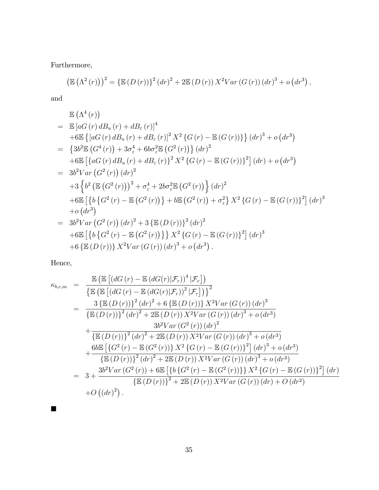Furthermore,

$$
\left(\mathbb{E}(\Lambda^{2}(r))\right)^{2} = \left\{\mathbb{E}(D(r))\right\}^{2} (dr)^{2} + 2\mathbb{E}(D(r)) X^{2} Var(G(r)) (dr)^{3} + o(dr^{3}),
$$

and

$$
\mathbb{E} (\Lambda^{4}(r))
$$
\n
$$
= \mathbb{E} [aG(r) dB_{u}(r) + dB_{\varepsilon}(r)]^{4}
$$
\n
$$
+ 6\mathbb{E} \{ [aG(r) dB_{u}(r) + dB_{\varepsilon}(r)]^{2} X^{2} \{ G(r) - \mathbb{E} (G(r)) \} \} (dr)^{3} + o (dr^{3})
$$
\n
$$
= \{ 3b^{2} \mathbb{E} (G^{4}(r)) + 3\sigma_{\varepsilon}^{4} + 6b\sigma_{\varepsilon}^{2} \mathbb{E} (G^{2}(r)) \} (dr)^{2}
$$
\n
$$
+ 6\mathbb{E} [aG(r) dB_{u}(r) + dB_{\varepsilon}(r) \}^{2} X^{2} \{ G(r) - \mathbb{E} (G(r)) \}^{2} ] (dr) + o (dr^{3})
$$
\n
$$
= 3b^{2} Var (G^{2}(r)) (dr)^{2}
$$
\n
$$
+ 3\left\{ b^{2} (\mathbb{E} (G^{2}(r)))^{2} + \sigma_{\varepsilon}^{4} + 2b\sigma_{\varepsilon}^{2} \mathbb{E} (G^{2}(r)) \right\} (dr)^{2}
$$
\n
$$
+ 6\mathbb{E} [\{ b \{ G^{2}(r) - \mathbb{E} (G^{2}(r)) \} + b\mathbb{E} (G^{2}(r)) + \sigma_{\varepsilon}^{2} \} X^{2} \{ G(r) - \mathbb{E} (G(r)) \}^{2} ] (dr)^{3}
$$
\n
$$
+ o (dr^{3})
$$
\n
$$
= 3b^{2} Var (G^{2}(r)) (dr)^{2} + 3 \{ \mathbb{E} (D(r)) \}^{2} (dr)^{2}
$$
\n
$$
+ 6\mathbb{E} [\{ b \{ G^{2}(r) - \mathbb{E} (G^{2}(r)) \} \} X^{2} \{ G(r) - \mathbb{E} (G(r)) \}^{2} ] (dr)^{3}
$$
\n
$$
+ 6 \{ \mathbb{E} (D(r)) \} X^{2} Var (G(r)) (dr)^{3} + o (dr^{3}).
$$

Hence,

 $\blacksquare$ 

$$
\kappa_{b,c,m} = \frac{\mathbb{E} \left[ \left( dG(r) - \mathbb{E} (dG(r)|\mathcal{F}_r) \right)^4 |\mathcal{F}_r \right]}{\left\{ \mathbb{E} \left[ \left( dG(r) - \mathbb{E} (dG(r)|\mathcal{F}_r) \right)^2 |\mathcal{F}_r \right] \right\}^2}
$$
\n
$$
= \frac{3 \left\{ \mathbb{E} (D(r)) \right\}^2 (dr)^2 + 6 \left\{ \mathbb{E} (D(r)) \right\} X^2 Var(G(r)) (dr)^3}{\left\{ \mathbb{E} (D(r)) \right\}^2 (dr)^2 + 2 \mathbb{E} (D(r)) X^2 Var(G(r)) (dr)^3 + o(dr^3)}
$$
\n
$$
+ \frac{3b^2 Var(G^2(r)) (dr)^2}{\left\{ \mathbb{E} (D(r)) \right\}^2 (dr)^2 + 2 \mathbb{E} (D(r)) X^2 Var(G(r)) (dr)^3 + o(dr^3)}
$$
\n
$$
+ \frac{6b \mathbb{E} \left[ \left\{ G^2(r) - \mathbb{E} (G^2(r)) \right\} X^2 \left\{ G(r) - \mathbb{E} (G(r)) \right\}^2 \right] (dr)^3 + o(dr^3)}{\left\{ \mathbb{E} (D(r)) \right\}^2 (dr)^2 + 2 \mathbb{E} (D(r)) X^2 Var(G(r)) (dr)^3 + o(dr^3)}
$$
\n
$$
= 3 + \frac{3b^2 Var(G^2(r)) + 6 \mathbb{E} \left[ \left\{ b \left\{ G^2(r) - \mathbb{E} (G^2(r)) \right\} \right\} X^2 \left\{ G(r) - \mathbb{E} (G(r)) \right\}^2 \right] (dr)}{\left\{ \mathbb{E} (D(r)) \right\}^2 + 2 \mathbb{E} (D(r)) X^2 Var(G(r)) (dr) + O(dr^2)}
$$
\n
$$
+ O((dr)^2).
$$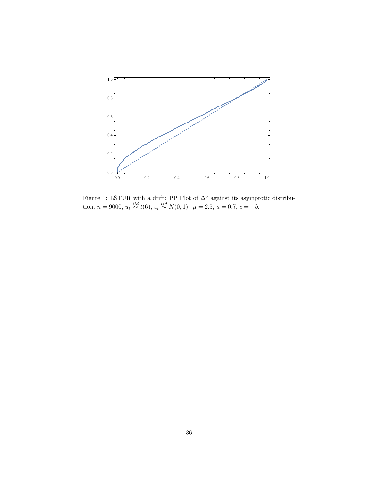

Figure 1: LSTUR with a drift: PP Plot of  $\Delta^5$  against its asymptotic distribution,  $n = 9000$ ,  $u_t \stackrel{iid}{\sim} t(6)$ ,  $\varepsilon_t \stackrel{iid}{\sim} N(0, 1)$ ,  $\mu = 2.5$ ,  $a = 0.7$ ,  $c = -b$ .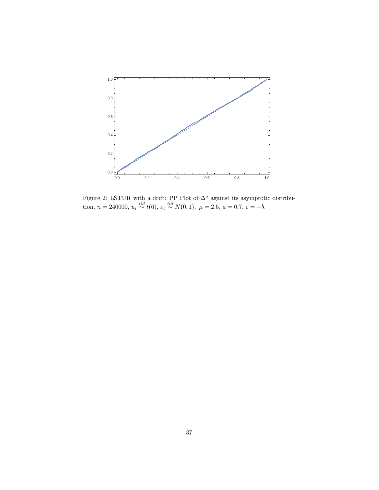

Figure 2: LSTUR with a drift: PP Plot of  $\Delta^5$  against its asymptotic distribution,  $n = 240000$ ,  $u_t \stackrel{iid}{\sim} t(6)$ ,  $\varepsilon_t \stackrel{iid}{\sim} N(0, 1)$ ,  $\mu = 2.5$ ,  $a = 0.7$ ,  $c = -b$ .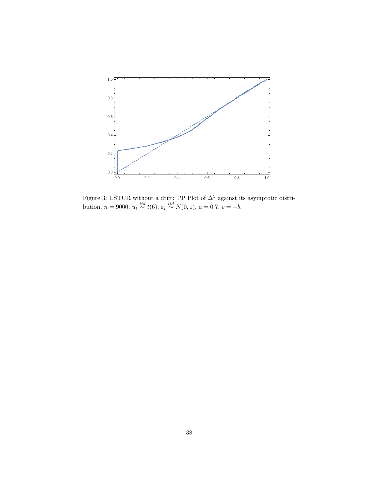

Figure 3: LSTUR without a drift: PP Plot of  $\Delta^5$  against its asymptotic distribution,  $n = 9000$ ,  $u_t \stackrel{iid}{\sim} t(6)$ ,  $\varepsilon_t \stackrel{iid}{\sim} N(0, 1)$ ,  $a = 0.7$ ,  $c = -b$ .